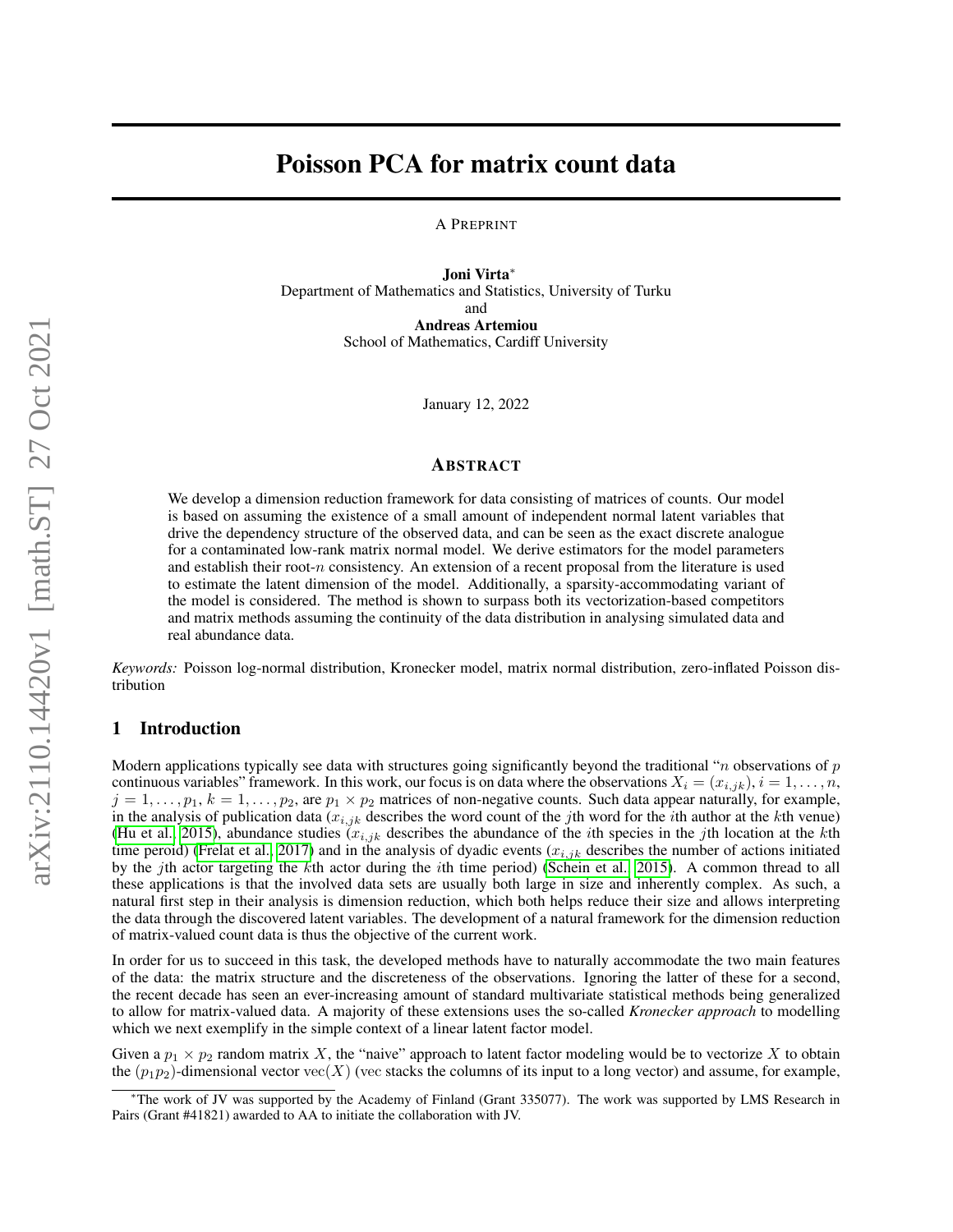# Poisson PCA for matrix count data

A PREPRINT

Joni Virta<sup>∗</sup> Department of Mathematics and Statistics, University of Turku and Andreas Artemiou School of Mathematics, Cardiff University

January 12, 2022

## ABSTRACT

We develop a dimension reduction framework for data consisting of matrices of counts. Our model is based on assuming the existence of a small amount of independent normal latent variables that drive the dependency structure of the observed data, and can be seen as the exact discrete analogue for a contaminated low-rank matrix normal model. We derive estimators for the model parameters and establish their root-n consistency. An extension of a recent proposal from the literature is used to estimate the latent dimension of the model. Additionally, a sparsity-accommodating variant of the model is considered. The method is shown to surpass both its vectorization-based competitors and matrix methods assuming the continuity of the data distribution in analysing simulated data and real abundance data.

*Keywords:* Poisson log-normal distribution, Kronecker model, matrix normal distribution, zero-inflated Poisson distribution

## 1 Introduction

Modern applications typically see data with structures going significantly beyond the traditional "*n* observations of  $p$ continuous variables" framework. In this work, our focus is on data where the observations  $X_i = (x_{i,jk}), i = 1, \ldots, n$ ,  $j = 1, \ldots, p_1, k = 1, \ldots, p_2$ , are  $p_1 \times p_2$  matrices of non-negative counts. Such data appear naturally, for example, in the analysis of publication data  $(x_{i,jk}$  describes the word count of the jth word for the *i*th author at the *k*th venue) [\(Hu et al., 2015\)](#page-17-0), abundance studies  $(x_{i,jk}$  describes the abundance of the *i*th species in the *j*th location at the *k*th time peroid) [\(Frelat et al., 2017\)](#page-17-1) and in the analysis of dyadic events  $(x_{i,jk}$  describes the number of actions initiated by the jth actor targeting the kth actor during the ith time period) [\(Schein et al., 2015\)](#page-18-0). A common thread to all these applications is that the involved data sets are usually both large in size and inherently complex. As such, a natural first step in their analysis is dimension reduction, which both helps reduce their size and allows interpreting the data through the discovered latent variables. The development of a natural framework for the dimension reduction of matrix-valued count data is thus the objective of the current work.

In order for us to succeed in this task, the developed methods have to naturally accommodate the two main features of the data: the matrix structure and the discreteness of the observations. Ignoring the latter of these for a second, the recent decade has seen an ever-increasing amount of standard multivariate statistical methods being generalized to allow for matrix-valued data. A majority of these extensions uses the so-called *Kronecker approach* to modelling which we next exemplify in the simple context of a linear latent factor model.

Given a  $p_1 \times p_2$  random matrix X, the "naive" approach to latent factor modeling would be to vectorize X to obtain the  $(p_1p_2)$ -dimensional vector vec $(X)$  (vec stacks the columns of its input to a long vector) and assume, for example,

<sup>∗</sup>The work of JV was supported by the Academy of Finland (Grant 335077). The work was supported by LMS Research in Pairs (Grant #41821) awarded to AA to initiate the collaboration with JV.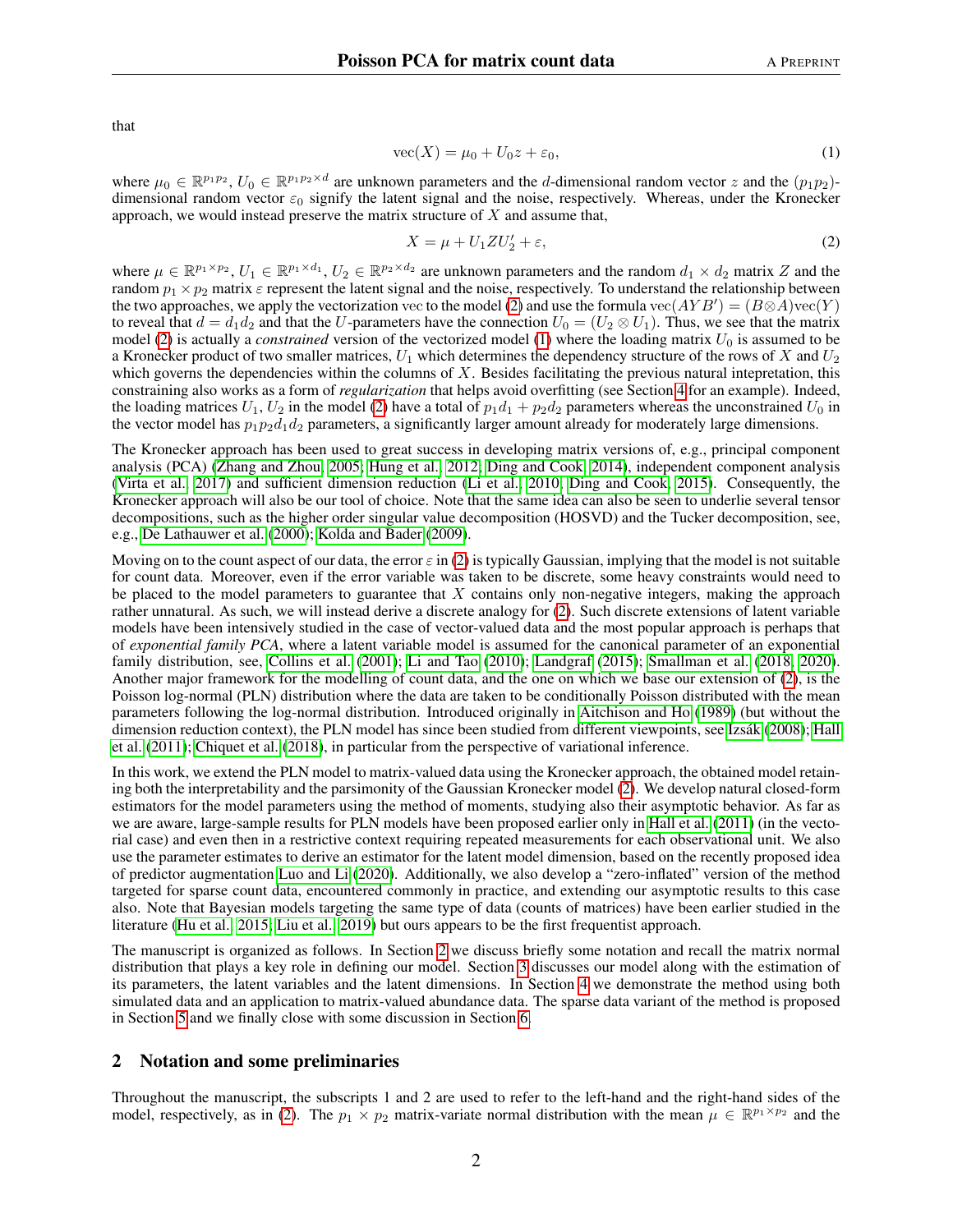that

<span id="page-1-1"></span>
$$
\text{vec}(X) = \mu_0 + U_0 z + \varepsilon_0,\tag{1}
$$

where  $\mu_0 \in \mathbb{R}^{p_1 p_2}$ ,  $U_0 \in \mathbb{R}^{p_1 p_2 \times d}$  are unknown parameters and the d-dimensional random vector z and the  $(p_1 p_2)$ dimensional random vector  $\varepsilon_0$  signify the latent signal and the noise, respectively. Whereas, under the Kronecker approach, we would instead preserve the matrix structure of  $X$  and assume that,

<span id="page-1-0"></span>
$$
X = \mu + U_1 Z U_2' + \varepsilon,\tag{2}
$$

where  $\mu \in \mathbb{R}^{p_1 \times p_2}$ ,  $U_1 \in \mathbb{R}^{p_1 \times d_1}$ ,  $U_2 \in \mathbb{R}^{p_2 \times d_2}$  are unknown parameters and the random  $d_1 \times d_2$  matrix Z and the random  $p_1 \times p_2$  matrix  $\varepsilon$  represent the latent signal and the noise, respectively. To understand the relationship between the two approaches, we apply the vectorization vec to the model [\(2\)](#page-1-0) and use the formula  $\text{vec}(AYB') = (B \otimes A)\text{vec}(Y)$ to reveal that  $d = d_1 d_2$  and that the U-parameters have the connection  $U_0 = (U_2 \otimes U_1)$ . Thus, we see that the matrix model [\(2\)](#page-1-0) is actually a *constrained* version of the vectorized model [\(1\)](#page-1-1) where the loading matrix  $U_0$  is assumed to be a Kronecker product of two smaller matrices,  $U_1$  which determines the dependency structure of the rows of X and  $U_2$ which governs the dependencies within the columns of  $X$ . Besides facilitating the previous natural intepretation, this constraining also works as a form of *regularization* that helps avoid overfitting (see Section [4](#page-7-0) for an example). Indeed, the loading matrices  $U_1, U_2$  in the model [\(2\)](#page-1-0) have a total of  $p_1d_1 + p_2d_2$  parameters whereas the unconstrained  $U_0$  in the vector model has  $p_1p_2d_1d_2$  parameters, a significantly larger amount already for moderately large dimensions.

The Kronecker approach has been used to great success in developing matrix versions of, e.g., principal component analysis (PCA) [\(Zhang and Zhou, 2005;](#page-18-1) [Hung et al., 2012;](#page-17-2) [Ding and Cook, 2014\)](#page-17-3), independent component analysis [\(Virta et al., 2017\)](#page-18-2) and sufficient dimension reduction [\(Li et al., 2010;](#page-17-4) [Ding and Cook, 2015\)](#page-17-5). Consequently, the Kronecker approach will also be our tool of choice. Note that the same idea can also be seen to underlie several tensor decompositions, such as the higher order singular value decomposition (HOSVD) and the Tucker decomposition, see, e.g., [De Lathauwer et al.](#page-17-6) [\(2000\)](#page-17-6); [Kolda and Bader](#page-17-7) [\(2009\)](#page-17-7).

Moving on to the count aspect of our data, the error  $\varepsilon$  in [\(2\)](#page-1-0) is typically Gaussian, implying that the model is not suitable for count data. Moreover, even if the error variable was taken to be discrete, some heavy constraints would need to be placed to the model parameters to guarantee that  $X$  contains only non-negative integers, making the approach rather unnatural. As such, we will instead derive a discrete analogy for [\(2\)](#page-1-0). Such discrete extensions of latent variable models have been intensively studied in the case of vector-valued data and the most popular approach is perhaps that of *exponential family PCA*, where a latent variable model is assumed for the canonical parameter of an exponential family distribution, see, [Collins et al.](#page-17-8) [\(2001\)](#page-17-8); [Li and Tao](#page-17-9) [\(2010\)](#page-17-9); [Landgraf](#page-17-10) [\(2015\)](#page-17-10); [Smallman et al.](#page-18-3) [\(2018,](#page-18-3) [2020\)](#page-18-4). Another major framework for the modelling of count data, and the one on which we base our extension of [\(2\)](#page-1-0), is the Poisson log-normal (PLN) distribution where the data are taken to be conditionally Poisson distributed with the mean parameters following the log-normal distribution. Introduced originally in [Aitchison and Ho](#page-17-11) [\(1989\)](#page-17-11) (but without the dimension reduction context), the PLN model has since been studied from different viewpoints, see Izsák [\(2008\)](#page-17-12); [Hall](#page-17-13) [et al.](#page-17-13) [\(2011\)](#page-17-13); [Chiquet et al.](#page-17-14) [\(2018\)](#page-17-14), in particular from the perspective of variational inference.

In this work, we extend the PLN model to matrix-valued data using the Kronecker approach, the obtained model retaining both the interpretability and the parsimonity of the Gaussian Kronecker model [\(2\)](#page-1-0). We develop natural closed-form estimators for the model parameters using the method of moments, studying also their asymptotic behavior. As far as we are aware, large-sample results for PLN models have been proposed earlier only in [Hall et al.](#page-17-13) [\(2011\)](#page-17-13) (in the vectorial case) and even then in a restrictive context requiring repeated measurements for each observational unit. We also use the parameter estimates to derive an estimator for the latent model dimension, based on the recently proposed idea of predictor augmentation [Luo and Li](#page-18-5) [\(2020\)](#page-18-5). Additionally, we also develop a "zero-inflated" version of the method targeted for sparse count data, encountered commonly in practice, and extending our asymptotic results to this case also. Note that Bayesian models targeting the same type of data (counts of matrices) have been earlier studied in the literature [\(Hu et al., 2015;](#page-17-0) [Liu et al., 2019\)](#page-18-6) but ours appears to be the first frequentist approach.

The manuscript is organized as follows. In Section [2](#page-1-2) we discuss briefly some notation and recall the matrix normal distribution that plays a key role in defining our model. Section [3](#page-2-0) discusses our model along with the estimation of its parameters, the latent variables and the latent dimensions. In Section [4](#page-7-0) we demonstrate the method using both simulated data and an application to matrix-valued abundance data. The sparse data variant of the method is proposed in Section [5](#page-11-0) and we finally close with some discussion in Section [6.](#page-14-0)

## <span id="page-1-2"></span>2 Notation and some preliminaries

Throughout the manuscript, the subscripts 1 and 2 are used to refer to the left-hand and the right-hand sides of the model, respectively, as in [\(2\)](#page-1-0). The  $p_1 \times p_2$  matrix-variate normal distribution with the mean  $\mu \in \mathbb{R}^{p_1 \times p_2}$  and the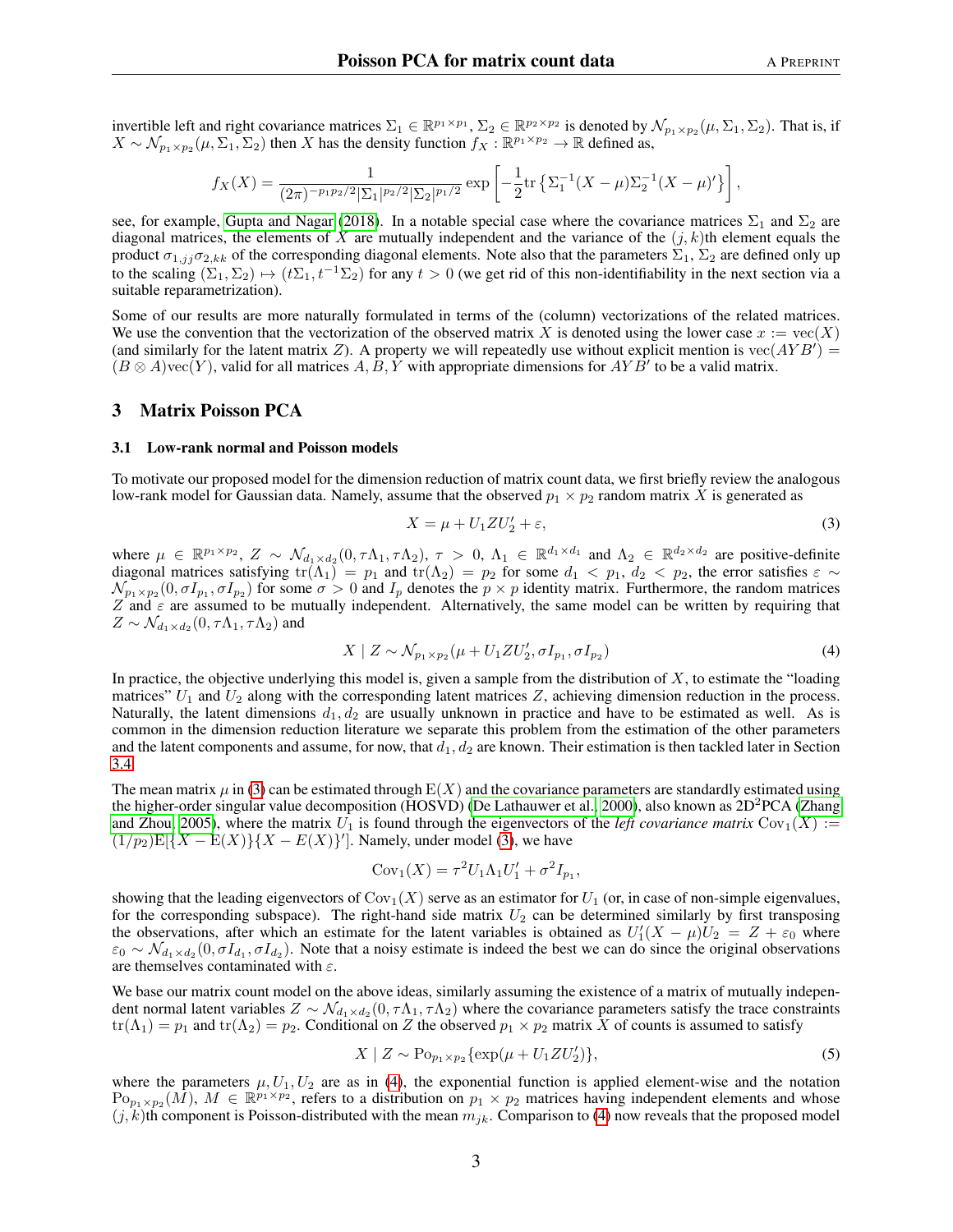invertible left and right covariance matrices  $\Sigma_1 \in \mathbb{R}^{p_1 \times p_1}$ ,  $\Sigma_2 \in \mathbb{R}^{p_2 \times p_2}$  is denoted by  $\mathcal{N}_{p_1 \times p_2}(\mu, \Sigma_1, \Sigma_2)$ . That is, if  $X \sim \mathcal{N}_{p_1 \times p_2}(\mu, \Sigma_1, \Sigma_2)$  then X has the density function  $f_X : \mathbb{R}^{p_1 \times p_2} \to \mathbb{R}$  defined as,

$$
f_X(X) = \frac{1}{(2\pi)^{-p_1 p_2/2} |\Sigma_1|^{p_2/2} |\Sigma_2|^{p_1/2}} \exp \left[ -\frac{1}{2} \text{tr} \left\{ \Sigma_1^{-1} (X - \mu) \Sigma_2^{-1} (X - \mu)' \right\} \right],
$$

see, for example, [Gupta and Nagar](#page-17-15) [\(2018\)](#page-17-15). In a notable special case where the covariance matrices  $\Sigma_1$  and  $\Sigma_2$  are diagonal matrices, the elements of X are mutually independent and the variance of the  $(j, k)$ th element equals the product  $\sigma_{1,jj}\sigma_{2,kk}$  of the corresponding diagonal elements. Note also that the parameters  $\Sigma_1$ ,  $\Sigma_2$  are defined only up to the scaling  $(\Sigma_1, \Sigma_2) \mapsto (t\Sigma_1, t^{-1}\Sigma_2)$  for any  $t > 0$  (we get rid of this non-identifiability in the next section via a suitable reparametrization).

Some of our results are more naturally formulated in terms of the (column) vectorizations of the related matrices. We use the convention that the vectorization of the observed matrix X is denoted using the lower case  $x := \text{vec}(X)$ (and similarly for the latent matrix Z). A property we will repeatedly use without explicit mention is  $\text{vec}(AYB') =$  $(B \otimes A)$ vec $(Y)$ , valid for all matrices  $A, B, Y$  with appropriate dimensions for  $AYB'$  to be a valid matrix.

#### <span id="page-2-0"></span>3 Matrix Poisson PCA

#### <span id="page-2-4"></span>3.1 Low-rank normal and Poisson models

To motivate our proposed model for the dimension reduction of matrix count data, we first briefly review the analogous low-rank model for Gaussian data. Namely, assume that the observed  $p_1 \times p_2$  random matrix X is generated as

<span id="page-2-2"></span><span id="page-2-1"></span>
$$
X = \mu + U_1 Z U_2' + \varepsilon,\tag{3}
$$

where  $\mu \in \mathbb{R}^{p_1 \times p_2}$ ,  $Z \sim \mathcal{N}_{d_1 \times d_2}(0, \tau \Lambda_1, \tau \Lambda_2)$ ,  $\tau > 0$ ,  $\Lambda_1 \in \mathbb{R}^{d_1 \times d_1}$  and  $\Lambda_2 \in \mathbb{R}^{d_2 \times d_2}$  are positive-definite diagonal matrices satisfying  $tr(\Lambda_1) = p_1$  and  $tr(\Lambda_2) = p_2$  for some  $d_1 < p_1, d_2 < p_2$ , the error satisfies  $\varepsilon \sim$  $\mathcal{N}_{p_1\times p_2}(0,\sigma I_{p_1},\sigma I_{p_2})$  for some  $\sigma>0$  and  $I_p$  denotes the  $p\times p$  identity matrix. Furthermore, the random matrices Z and  $\varepsilon$  are assumed to be mutually independent. Alternatively, the same model can be written by requiring that  $Z \sim \mathcal{N}_{d_1 \times d_2}(0, \tau \Lambda_1, \tau \Lambda_2)$  and

$$
X \mid Z \sim \mathcal{N}_{p_1 \times p_2}(\mu + U_1 Z U_2', \sigma I_{p_1}, \sigma I_{p_2})
$$
\n(4)

In practice, the objective underlying this model is, given a sample from the distribution of  $X$ , to estimate the "loading matrices"  $U_1$  and  $U_2$  along with the corresponding latent matrices Z, achieving dimension reduction in the process. Naturally, the latent dimensions  $d_1, d_2$  are usually unknown in practice and have to be estimated as well. As is common in the dimension reduction literature we separate this problem from the estimation of the other parameters and the latent components and assume, for now, that  $d_1, d_2$  are known. Their estimation is then tackled later in Section [3.4.](#page-5-0)

The mean matrix  $\mu$  in [\(3\)](#page-2-1) can be estimated through  $E(X)$  and the covariance parameters are standardly estimated using the higher-order singular value decomposition (HOSVD) [\(De Lathauwer et al., 2000\)](#page-17-6), also known as 2D<sup>2</sup>PCA [\(Zhang](#page-18-1) [and Zhou, 2005\)](#page-18-1), where the matrix  $U_1$  is found through the eigenvectors of the *left covariance matrix*  $Cov_1(X) :=$  $(1/p_2)E[\{X - E(X)\}\{X - E(X)\}]$ . Namely, under model [\(3\)](#page-2-1), we have

$$
Cov_1(X) = \tau^2 U_1 \Lambda_1 U_1' + \sigma^2 I_{p_1},
$$

showing that the leading eigenvectors of  $\text{Cov}_1(X)$  serve as an estimator for  $U_1$  (or, in case of non-simple eigenvalues, for the corresponding subspace). The right-hand side matrix  $U_2$  can be determined similarly by first transposing the observations, after which an estimate for the latent variables is obtained as  $U_1'(X - \mu)U_2 = Z + \varepsilon_0$  where  $\varepsilon_0 \sim \mathcal{N}_{d_1 \times d_2}(0, \sigma I_{d_1}, \sigma I_{d_2})$ . Note that a noisy estimate is indeed the best we can do since the original observations are themselves contaminated with  $\varepsilon$ .

We base our matrix count model on the above ideas, similarly assuming the existence of a matrix of mutually independent normal latent variables  $Z \sim \mathcal{N}_{d_1 \times d_2}(0, \tau \Lambda_1, \tau \Lambda_2)$  where the covariance parameters satisfy the trace constraints  $tr(\Lambda_1) = p_1$  and  $tr(\Lambda_2) = p_2$ . Conditional on Z the observed  $p_1 \times p_2$  matrix X of counts is assumed to satisfy

<span id="page-2-3"></span>
$$
X \mid Z \sim \text{Po}_{p_1 \times p_2} \{ \exp(\mu + U_1 Z U_2') \},\tag{5}
$$

where the parameters  $\mu$ ,  $U_1$ ,  $U_2$  are as in [\(4\)](#page-2-2), the exponential function is applied element-wise and the notation  $Po_{p_1\times p_2}(\tilde{M})$ ,  $M \in \mathbb{R}^{p_1\times p_2}$ , refers to a distribution on  $p_1 \times p_2$  matrices having independent elements and whose  $(j, k)$ th component is Poisson-distributed with the mean  $m_{jk}$ . Comparison to [\(4\)](#page-2-2) now reveals that the proposed model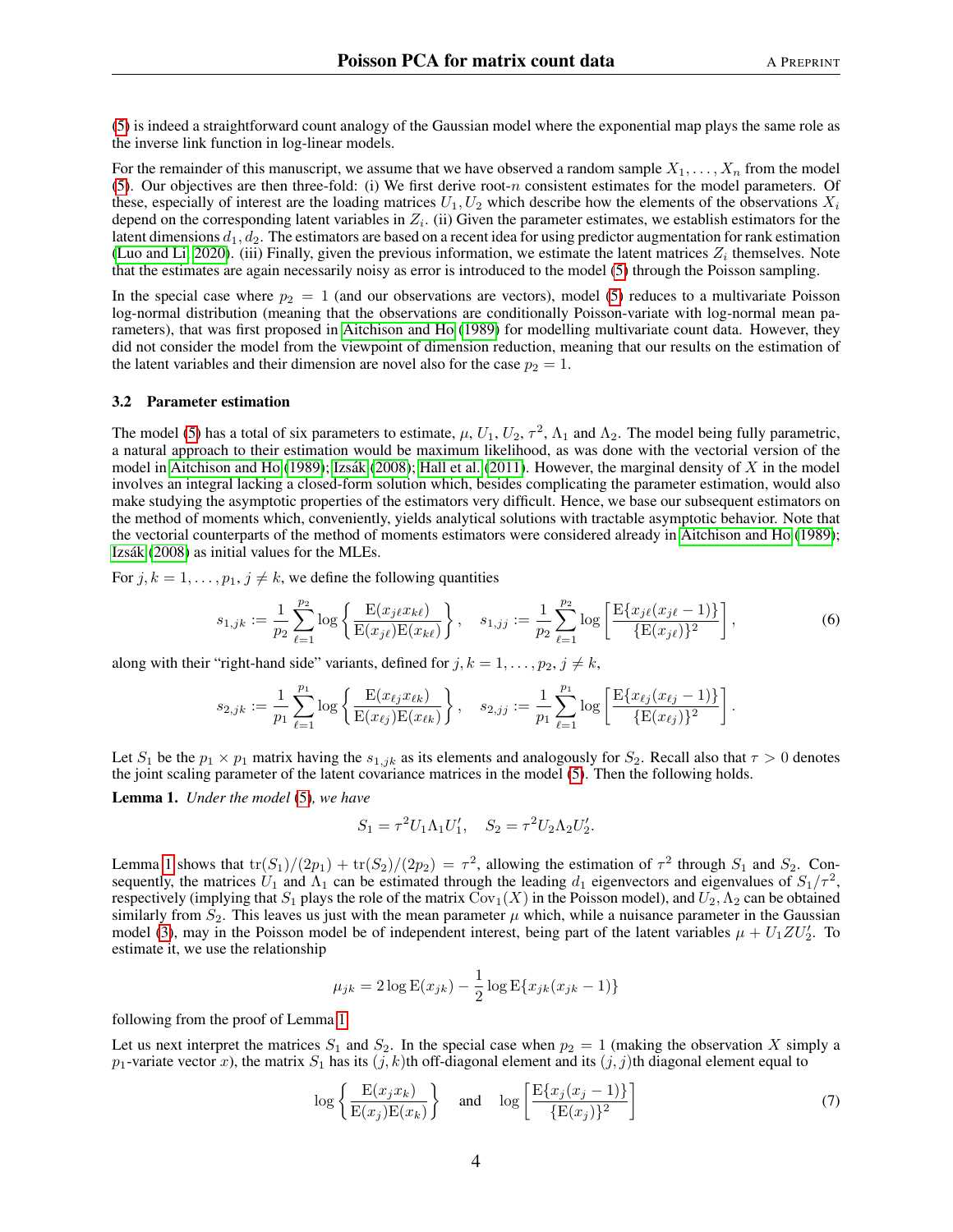[\(5\)](#page-2-3) is indeed a straightforward count analogy of the Gaussian model where the exponential map plays the same role as the inverse link function in log-linear models.

For the remainder of this manuscript, we assume that we have observed a random sample  $X_1, \ldots, X_n$  from the model [\(5\)](#page-2-3). Our objectives are then three-fold: (i) We first derive root-n consistent estimates for the model parameters. Of these, especially of interest are the loading matrices  $U_1, U_2$  which describe how the elements of the observations  $X_i$ depend on the corresponding latent variables in  $Z_i$ . (ii) Given the parameter estimates, we establish estimators for the latent dimensions  $d_1, d_2$ . The estimators are based on a recent idea for using predictor augmentation for rank estimation [\(Luo and Li, 2020\)](#page-18-5). (iii) Finally, given the previous information, we estimate the latent matrices  $Z_i$  themselves. Note that the estimates are again necessarily noisy as error is introduced to the model [\(5\)](#page-2-3) through the Poisson sampling.

In the special case where  $p_2 = 1$  (and our observations are vectors), model [\(5\)](#page-2-3) reduces to a multivariate Poisson log-normal distribution (meaning that the observations are conditionally Poisson-variate with log-normal mean parameters), that was first proposed in [Aitchison and Ho](#page-17-11) [\(1989\)](#page-17-11) for modelling multivariate count data. However, they did not consider the model from the viewpoint of dimension reduction, meaning that our results on the estimation of the latent variables and their dimension are novel also for the case  $p_2 = 1$ .

#### <span id="page-3-3"></span>3.2 Parameter estimation

The model [\(5\)](#page-2-3) has a total of six parameters to estimate,  $\mu$ ,  $U_1$ ,  $U_2$ ,  $\tau^2$ ,  $\Lambda_1$  and  $\Lambda_2$ . The model being fully parametric, a natural approach to their estimation would be maximum likelihood, as was done with the vectorial version of the model in [Aitchison and Ho](#page-17-11) [\(1989\)](#page-17-11); Izsák [\(2008\)](#page-17-12); [Hall et al.](#page-17-13) [\(2011\)](#page-17-13). However, the marginal density of  $X$  in the model involves an integral lacking a closed-form solution which, besides complicating the parameter estimation, would also make studying the asymptotic properties of the estimators very difficult. Hence, we base our subsequent estimators on the method of moments which, conveniently, yields analytical solutions with tractable asymptotic behavior. Note that the vectorial counterparts of the method of moments estimators were considered already in [Aitchison and Ho](#page-17-11) [\(1989\)](#page-17-11); Izsák [\(2008\)](#page-17-12) as initial values for the MLEs.

For  $j, k = 1, \ldots, p_1, j \neq k$ , we define the following quantities

$$
s_{1,jk} := \frac{1}{p_2} \sum_{\ell=1}^{p_2} \log \left\{ \frac{\mathcal{E}(x_{j\ell} x_{k\ell})}{\mathcal{E}(x_{j\ell}) \mathcal{E}(x_{k\ell})} \right\}, \quad s_{1,jj} := \frac{1}{p_2} \sum_{\ell=1}^{p_2} \log \left[ \frac{\mathcal{E}\{x_{j\ell}(x_{j\ell} - 1)\}}{\{\mathcal{E}(x_{j\ell})\}^2} \right],
$$
(6)

along with their "right-hand side" variants, defined for  $j, k = 1, \ldots, p_2, j \neq k$ ,

$$
s_{2,jk} := \frac{1}{p_1} \sum_{\ell=1}^{p_1} \log \left\{ \frac{\mathrm{E}(x_{\ell j} x_{\ell k})}{\mathrm{E}(x_{\ell j}) \mathrm{E}(x_{\ell k})} \right\}, \quad s_{2,jj} := \frac{1}{p_1} \sum_{\ell=1}^{p_1} \log \left[ \frac{\mathrm{E}\{x_{\ell j}(x_{\ell j}-1)\}}{\{\mathrm{E}(x_{\ell j})\}^2} \right].
$$

Let  $S_1$  be the  $p_1 \times p_1$  matrix having the  $s_{1,jk}$  as its elements and analogously for  $S_2$ . Recall also that  $\tau > 0$  denotes the joint scaling parameter of the latent covariance matrices in the model [\(5\)](#page-2-3). Then the following holds.

<span id="page-3-0"></span>Lemma 1. *Under the model* [\(5\)](#page-2-3)*, we have*

<span id="page-3-2"></span>
$$
S_1 = \tau^2 U_1 \Lambda_1 U_1', \quad S_2 = \tau^2 U_2 \Lambda_2 U_2'.
$$

Lemma [1](#page-3-0) shows that  $tr(S_1)/(2p_1) + tr(S_2)/(2p_2) = \tau^2$ , allowing the estimation of  $\tau^2$  through  $S_1$  and  $S_2$ . Consequently, the matrices  $U_1$  and  $\Lambda_1$  can be estimated through the leading  $d_1$  eigenvectors and eigenvalues of  $S_1/\tau^2$ , respectively (implying that  $S_1$  plays the role of the matrix  $Cov_1(X)$  in the Poisson model), and  $U_2, \Lambda_2$  can be obtained similarly from  $S_2$ . This leaves us just with the mean parameter  $\mu$  which, while a nuisance parameter in the Gaussian model [\(3\)](#page-2-1), may in the Poisson model be of independent interest, being part of the latent variables  $\mu + U_1 Z U_2'$ . To estimate it, we use the relationship

<span id="page-3-1"></span>
$$
\mu_{jk} = 2\log E(x_{jk}) - \frac{1}{2}\log E\{x_{jk}(x_{jk} - 1)\}\
$$

following from the proof of Lemma [1.](#page-3-0)

Let us next interpret the matrices  $S_1$  and  $S_2$ . In the special case when  $p_2 = 1$  (making the observation X simply a  $p_1$ -variate vector x), the matrix  $S_1$  has its  $(j, k)$ th off-diagonal element and its  $(j, j)$ th diagonal element equal to

$$
\log\left\{\frac{\mathcal{E}(x_j x_k)}{\mathcal{E}(x_j)\mathcal{E}(x_k)}\right\} \quad \text{and} \quad \log\left[\frac{\mathcal{E}\{x_j(x_j-1)\}}{\{\mathcal{E}(x_j)\}^2}\right] \tag{7}
$$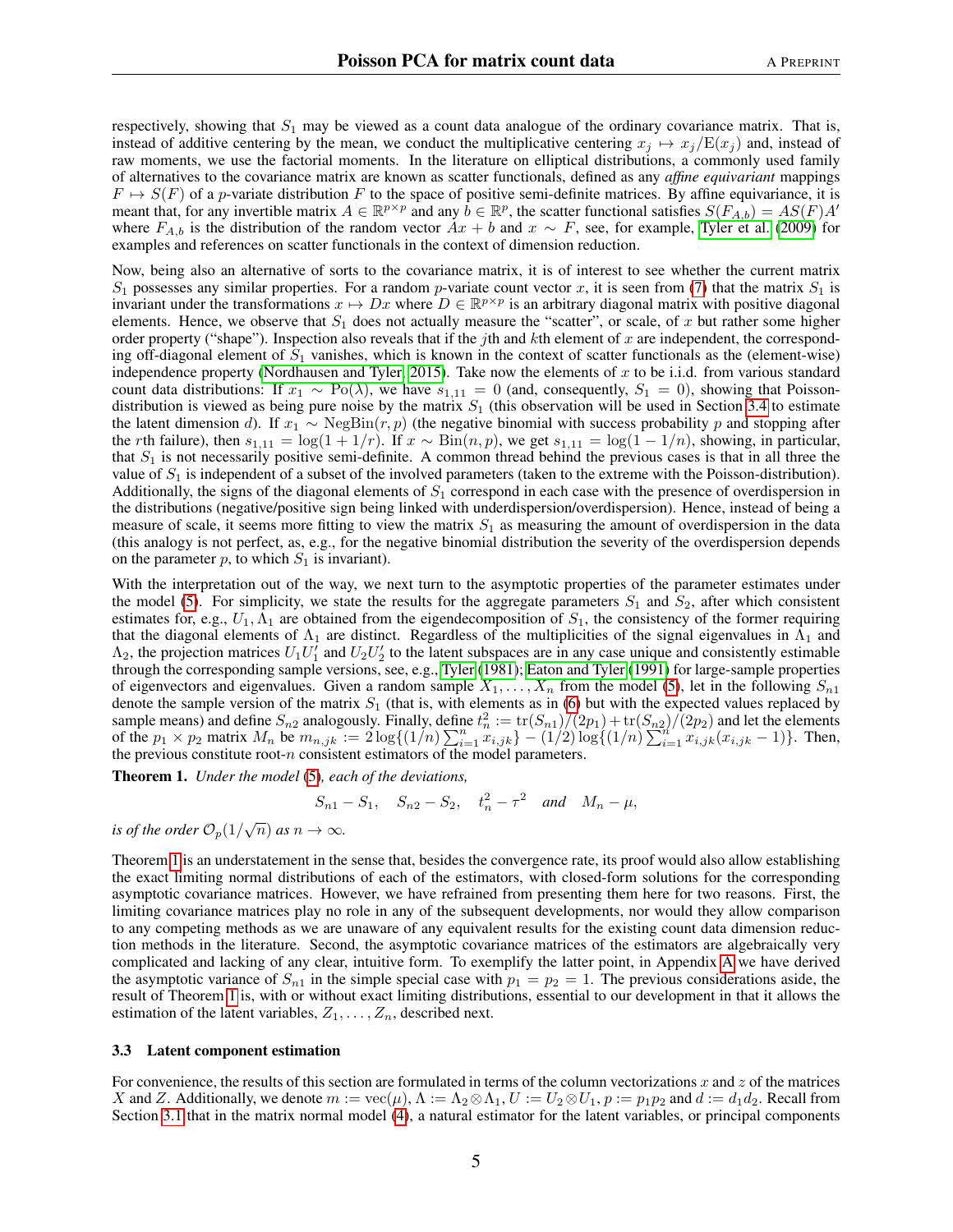respectively, showing that  $S_1$  may be viewed as a count data analogue of the ordinary covariance matrix. That is, instead of additive centering by the mean, we conduct the multiplicative centering  $x_j \mapsto x_j/E(x_j)$  and, instead of raw moments, we use the factorial moments. In the literature on elliptical distributions, a commonly used family of alternatives to the covariance matrix are known as scatter functionals, defined as any *affine equivariant* mappings  $F \mapsto S(F)$  of a p-variate distribution F to the space of positive semi-definite matrices. By affine equivariance, it is meant that, for any invertible matrix  $A \in \mathbb{R}^{p \times p}$  and any  $\vec{b} \in \mathbb{R}^p$ , the scatter functional satisfies  $S(F_{A,\vec{b}}) = AS(F)A'$ where  $F_{A,b}$  is the distribution of the random vector  $Ax + b$  and  $x \sim F$ , see, for example, [Tyler et al.](#page-18-7) [\(2009\)](#page-18-7) for examples and references on scatter functionals in the context of dimension reduction.

Now, being also an alternative of sorts to the covariance matrix, it is of interest to see whether the current matrix  $S_1$  possesses any similar properties. For a random *p*-variate count vector x, it is seen from [\(7\)](#page-3-1) that the matrix  $S_1$  is invariant under the transformations  $x \mapsto Dx$  where  $D \in \mathbb{R}^{p \times p}$  is an arbitrary diagonal matrix with positive diagonal elements. Hence, we observe that  $S_1$  does not actually measure the "scatter", or scale, of x but rather some higher order property ("shape"). Inspection also reveals that if the jth and  $k$ th element of  $x$  are independent, the corresponding off-diagonal element of  $S_1$  vanishes, which is known in the context of scatter functionals as the (element-wise) independence property [\(Nordhausen and Tyler, 2015\)](#page-18-8). Take now the elements of  $x$  to be i.i.d. from various standard count data distributions: If  $x_1 \sim Po(\lambda)$ , we have  $s_{1,11} = 0$  (and, consequently,  $S_1 = 0$ ), showing that Poissondistribution is viewed as being pure noise by the matrix  $S_1$  (this observation will be used in Section [3.4](#page-5-0) to estimate the latent dimension d). If  $x_1 \sim \text{NegBin}(r, p)$  (the negative binomial with success probability p and stopping after the rth failure), then  $s_{1,11} = \log(1 + 1/r)$ . If  $x \sim \text{Bin}(n, p)$ , we get  $s_{1,11} = \log(1 - 1/n)$ , showing, in particular, that  $S_1$  is not necessarily positive semi-definite. A common thread behind the previous cases is that in all three the value of  $S_1$  is independent of a subset of the involved parameters (taken to the extreme with the Poisson-distribution). Additionally, the signs of the diagonal elements of  $S_1$  correspond in each case with the presence of overdispersion in the distributions (negative/positive sign being linked with underdispersion/overdispersion). Hence, instead of being a measure of scale, it seems more fitting to view the matrix  $S_1$  as measuring the amount of overdispersion in the data (this analogy is not perfect, as, e.g., for the negative binomial distribution the severity of the overdispersion depends on the parameter p, to which  $S_1$  is invariant).

With the interpretation out of the way, we next turn to the asymptotic properties of the parameter estimates under the model [\(5\)](#page-2-3). For simplicity, we state the results for the aggregate parameters  $S_1$  and  $S_2$ , after which consistent estimates for, e.g.,  $U_1, \Lambda_1$  are obtained from the eigendecomposition of  $S_1$ , the consistency of the former requiring that the diagonal elements of  $\Lambda_1$  are distinct. Regardless of the multiplicities of the signal eigenvalues in  $\Lambda_1$  and  $\Lambda_2$ , the projection matrices  $U_1U_1'$  and  $U_2U_2'$  to the latent subspaces are in any case unique and consistently estimable through the corresponding sample versions, see, e.g., [Tyler](#page-18-9) [\(1981\)](#page-18-9); [Eaton and Tyler](#page-17-16) [\(1991\)](#page-17-16) for large-sample properties of eigenvectors and eigenvalues. Given a random sample  $X_1, \ldots, X_n$  from the model [\(5\)](#page-2-3), let in the following  $S_{n1}$ denote the sample version of the matrix  $S_1$  (that is, with elements as in [\(6\)](#page-3-2) but with the expected values replaced by sample means) and define  $S_{n2}$  analogously. Finally, define  $t_n^2 := \frac{\text{tr}(S_{n1})}{2p_1} + \frac{\text{tr}(S_{n2})}{2p_2}$  and let the elements of the  $p_1 \times p_2$  matrix  $M_n$  be  $m_{n,jk} := 2 \log\{(1/n) \sum_{i=1}^n x_{i,jk}\} - (1/2) \log\{(1/n) \sum_{i=1}^n x_{i,jk}(x_{i,jk} - 1)\}$ . Then, the previous constitute root- $n$  consistent estimators of the model parameters.

<span id="page-4-0"></span>Theorem 1. *Under the model* [\(5\)](#page-2-3)*, each of the deviations,*

$$
S_{n1} - S_1
$$
,  $S_{n2} - S_2$ ,  $t_n^2 - \tau^2$  and  $M_n - \mu$ ,

*is of the order*  $\mathcal{O}_p(1/\sqrt{n})$  *as*  $n \to \infty$ *.* 

Theorem [1](#page-4-0) is an understatement in the sense that, besides the convergence rate, its proof would also allow establishing the exact limiting normal distributions of each of the estimators, with closed-form solutions for the corresponding asymptotic covariance matrices. However, we have refrained from presenting them here for two reasons. First, the limiting covariance matrices play no role in any of the subsequent developments, nor would they allow comparison to any competing methods as we are unaware of any equivalent results for the existing count data dimension reduction methods in the literature. Second, the asymptotic covariance matrices of the estimators are algebraically very complicated and lacking of any clear, intuitive form. To exemplify the latter point, in Appendix [A](#page-15-0) we have derived the asymptotic variance of  $S_{n1}$  in the simple special case with  $p_1 = p_2 = 1$ . The previous considerations aside, the result of Theorem [1](#page-4-0) is, with or without exact limiting distributions, essential to our development in that it allows the estimation of the latent variables,  $Z_1, \ldots, Z_n$ , described next.

#### <span id="page-4-1"></span>3.3 Latent component estimation

For convenience, the results of this section are formulated in terms of the column vectorizations x and z of the matrices X and Z. Additionally, we denote  $m := \text{vec}(\mu)$ ,  $\Lambda := \Lambda_2 \otimes \Lambda_1$ ,  $U := U_2 \otimes U_1$ ,  $p := p_1 p_2$  and  $d := d_1 d_2$ . Recall from Section [3.1](#page-2-4) that in the matrix normal model [\(4\)](#page-2-2), a natural estimator for the latent variables, or principal components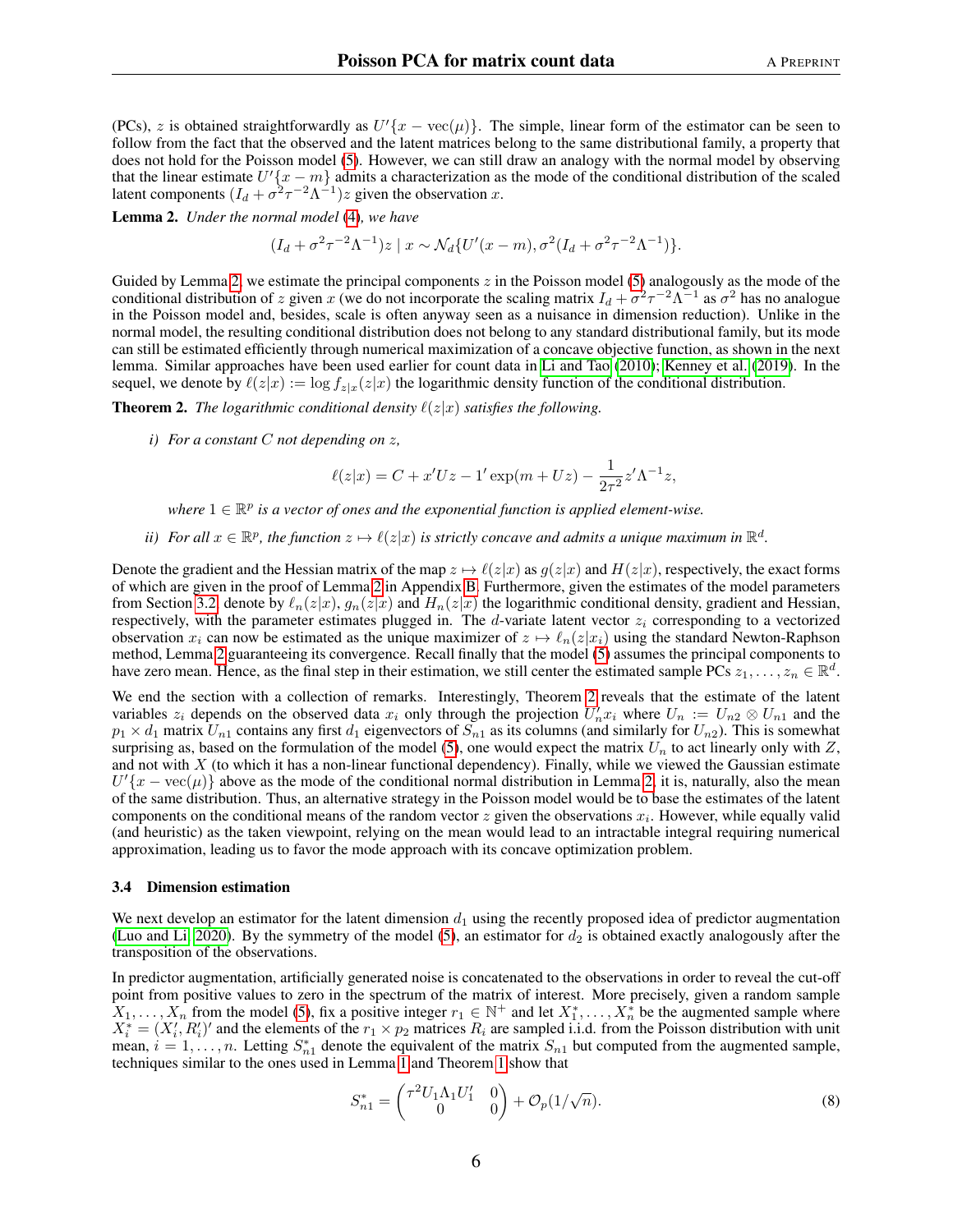(PCs), z is obtained straightforwardly as  $U'(x - \text{vec}(\mu))$ . The simple, linear form of the estimator can be seen to follow from the fact that the observed and the latent matrices belong to the same distributional family, a property that does not hold for the Poisson model [\(5\)](#page-2-3). However, we can still draw an analogy with the normal model by observing that the linear estimate  $U^{t}$   $\{x - m\}$  admits a characterization as the mode of the conditional distribution of the scaled latent components  $(I_d + \sigma^2 \tau^{-2} \Lambda^{-1})z$  given the observation x.

<span id="page-5-1"></span>Lemma 2. *Under the normal model* [\(4\)](#page-2-2)*, we have*

$$
(I_d + \sigma^2 \tau^{-2} \Lambda^{-1}) z \mid x \sim \mathcal{N}_d \{ U'(x-m), \sigma^2 (I_d + \sigma^2 \tau^{-2} \Lambda^{-1}) \}.
$$

Guided by Lemma [2,](#page-5-1) we estimate the principal components  $z$  in the Poisson model [\(5\)](#page-2-3) analogously as the mode of the conditional distribution of z given x (we do not incorporate the scaling matrix  $I_d + \sigma^2 \tau^{-2} \Lambda^{-1}$  as  $\sigma^2$  has no analogue in the Poisson model and, besides, scale is often anyway seen as a nuisance in dimension reduction). Unlike in the normal model, the resulting conditional distribution does not belong to any standard distributional family, but its mode can still be estimated efficiently through numerical maximization of a concave objective function, as shown in the next lemma. Similar approaches have been used earlier for count data in [Li and Tao](#page-17-9) [\(2010\)](#page-17-9); [Kenney et al.](#page-17-17) [\(2019\)](#page-17-17). In the sequel, we denote by  $\ell(z|x) := \log f_{z|x}(z|x)$  the logarithmic density function of the conditional distribution.

<span id="page-5-2"></span>**Theorem 2.** *The logarithmic conditional density*  $\ell(z|x)$  *satisfies the following.* 

*i) For a constant* C *not depending on* z*,*

$$
\ell(z|x) = C + x'Uz - 1'\exp(m + Uz) - \frac{1}{2\tau^2}z'\Lambda^{-1}z,
$$

where  $1 \in \mathbb{R}^p$  is a vector of ones and the exponential function is applied element-wise.

*ii*) For all  $x \in \mathbb{R}^p$ , the function  $z \mapsto \ell(z|x)$  is strictly concave and admits a unique maximum in  $\mathbb{R}^d$ .

Denote the gradient and the Hessian matrix of the map  $z \mapsto \ell(z|x)$  as  $g(z|x)$  and  $H(z|x)$ , respectively, the exact forms of which are given in the proof of Lemma [2](#page-5-2) in Appendix [B.](#page-15-1) Furthermore, given the estimates of the model parameters from Section [3.2,](#page-3-3) denote by  $\ell_n(z|x)$ ,  $g_n(z|x)$  and  $H_n(z|x)$  the logarithmic conditional density, gradient and Hessian, respectively, with the parameter estimates plugged in. The d-variate latent vector  $z_i$  corresponding to a vectorized observation  $x_i$  can now be estimated as the unique maximizer of  $z \mapsto \ell_n(z|x_i)$  using the standard Newton-Raphson method, Lemma [2](#page-5-2) guaranteeing its convergence. Recall finally that the model [\(5\)](#page-2-3) assumes the principal components to have zero mean. Hence, as the final step in their estimation, we still center the estimated sample PCs  $z_1, \ldots, z_n \in \mathbb{R}^d$ .

We end the section with a collection of remarks. Interestingly, Theorem [2](#page-5-2) reveals that the estimate of the latent variables  $z_i$  depends on the observed data  $x_i$  only through the projection  $U'_n x_i$  where  $U_n := U_{n2} \otimes U_{n1}$  and the  $p_1 \times d_1$  matrix  $U_{n1}$  contains any first  $d_1$  eigenvectors of  $S_{n1}$  as its columns (and similarly for  $U_{n2}$ ). This is somewhat surprising as, based on the formulation of the model [\(5\)](#page-2-3), one would expect the matrix  $U_n$  to act linearly only with Z, and not with  $X$  (to which it has a non-linear functional dependency). Finally, while we viewed the Gaussian estimate  $U^{t}(x - \text{vec}(\mu))$  above as the mode of the conditional normal distribution in Lemma [2,](#page-5-1) it is, naturally, also the mean of the same distribution. Thus, an alternative strategy in the Poisson model would be to base the estimates of the latent components on the conditional means of the random vector  $z$  given the observations  $x_i$ . However, while equally valid (and heuristic) as the taken viewpoint, relying on the mean would lead to an intractable integral requiring numerical approximation, leading us to favor the mode approach with its concave optimization problem.

#### <span id="page-5-0"></span>3.4 Dimension estimation

We next develop an estimator for the latent dimension  $d_1$  using the recently proposed idea of predictor augmentation [\(Luo and Li, 2020\)](#page-18-5). By the symmetry of the model [\(5\)](#page-2-3), an estimator for  $d_2$  is obtained exactly analogously after the transposition of the observations.

In predictor augmentation, artificially generated noise is concatenated to the observations in order to reveal the cut-off point from positive values to zero in the spectrum of the matrix of interest. More precisely, given a random sample  $X_1, \ldots, X_n$  from the model [\(5\)](#page-2-3), fix a positive integer  $r_1 \in \mathbb{N}^+$  and let  $X_1^*, \ldots, X_n^*$  be the augmented sample where  $X_i^* = (X_i', R_i')'$  and the elements of the  $r_1 \times p_2$  matrices  $R_i$  are sampled i.i.d. from the Poisson distribution with unit mean,  $i = 1, \ldots, n$ . Letting  $S_{n1}^*$  denote the equivalent of the matrix  $S_{n1}$  but computed from the augmented sample, techniques similar to the ones used in Lemma [1](#page-3-0) and Theorem [1](#page-4-0) show that

<span id="page-5-3"></span>
$$
S_{n1}^* = \begin{pmatrix} \tau^2 U_1 \Lambda_1 U_1' & 0 \\ 0 & 0 \end{pmatrix} + \mathcal{O}_p(1/\sqrt{n}). \tag{8}
$$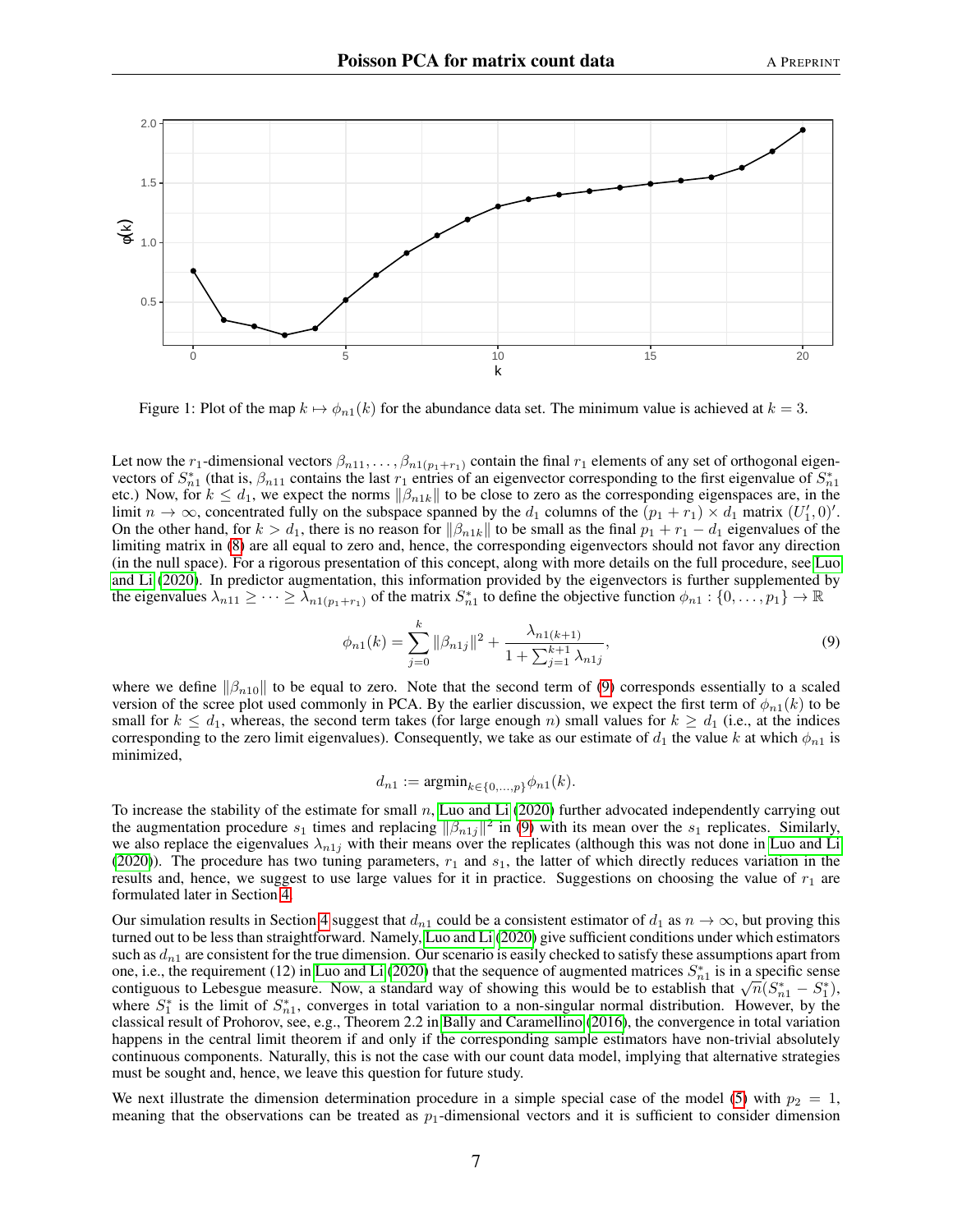

<span id="page-6-1"></span>Figure 1: Plot of the map  $k \mapsto \phi_{n1}(k)$  for the abundance data set. The minimum value is achieved at  $k = 3$ .

Let now the  $r_1$ -dimensional vectors  $\beta_{n11}, \dots, \beta_{n1(p_1+r_1)}$  contain the final  $r_1$  elements of any set of orthogonal eigenvectors of  $S_{n1}^*$  (that is,  $\beta_{n11}$  contains the last  $r_1$  entries of an eigenvector corresponding to the first eigenvalue of  $S_{n1}^*$ etc.) Now, for  $k \leq d_1$ , we expect the norms  $\|\beta_{n1k}\|$  to be close to zero as the corresponding eigenspaces are, in the limit  $n \to \infty$ , concentrated fully on the subspace spanned by the  $d_1$  columns of the  $(p_1 + r_1) \times d_1$  matrix  $(U'_1, 0)'$ . On the other hand, for  $k > d_1$ , there is no reason for  $\|\beta_{n1k}\|$  to be small as the final  $p_1 + r_1 - d_1$  eigenvalues of the limiting matrix in [\(8\)](#page-5-3) are all equal to zero and, hence, the corresponding eigenvectors should not favor any direction (in the null space). For a rigorous presentation of this concept, along with more details on the full procedure, see [Luo](#page-18-5) [and Li](#page-18-5) [\(2020\)](#page-18-5). In predictor augmentation, this information provided by the eigenvectors is further supplemented by the eigenvalues  $\lambda_{n11} \geq \cdots \geq \lambda_{n1(p_1+r_1)}$  of the matrix  $S_{n1}^*$  to define the objective function  $\phi_{n1}: \{0, \ldots, p_1\} \to \mathbb{R}$ 

$$
\phi_{n1}(k) = \sum_{j=0}^{k} ||\beta_{n1j}||^2 + \frac{\lambda_{n1(k+1)}}{1 + \sum_{j=1}^{k+1} \lambda_{n1j}},\tag{9}
$$

where we define  $\|\beta_{n10}\|$  to be equal to zero. Note that the second term of [\(9\)](#page-6-0) corresponds essentially to a scaled version of the scree plot used commonly in PCA. By the earlier discussion, we expect the first term of  $\phi_{n1}(k)$  to be small for  $k \leq d_1$ , whereas, the second term takes (for large enough n) small values for  $k \geq d_1$  (i.e., at the indices corresponding to the zero limit eigenvalues). Consequently, we take as our estimate of  $d_1$  the value k at which  $\phi_{n1}$  is minimized,

<span id="page-6-0"></span>
$$
d_{n1} := \mathrm{argmin}_{k \in \{0, ..., p\}} \phi_{n1}(k).
$$

To increase the stability of the estimate for small  $n$ , [Luo and Li](#page-18-5) [\(2020\)](#page-18-5) further advocated independently carrying out the augmentation procedure  $s_1$  times and replacing  $\|\beta_{n1j}\|^2$  in [\(9\)](#page-6-0) with its mean over the  $s_1$  replicates. Similarly, we also replace the eigenvalues  $\lambda_{n1j}$  with their means over the replicates (although this was not done in [Luo and Li](#page-18-5) [\(2020\)](#page-18-5)). The procedure has two tuning parameters,  $r_1$  and  $s_1$ , the latter of which directly reduces variation in the results and, hence, we suggest to use large values for it in practice. Suggestions on choosing the value of  $r_1$  are formulated later in Section [4.](#page-7-0)

Our simulation results in Section [4](#page-7-0) suggest that  $d_{n_1}$  could be a consistent estimator of  $d_1$  as  $n \to \infty$ , but proving this turned out to be less than straightforward. Namely, [Luo and Li](#page-18-5) [\(2020\)](#page-18-5) give sufficient conditions under which estimators such as  $d_{n1}$  are consistent for the true dimension. Our scenario is easily checked to satisfy these assumptions apart from one, i.e., the requirement (12) in [Luo and Li](#page-18-5) [\(2020\)](#page-18-5) that the sequence of augmented matrices  $S_{n_1}^*$  is in a specific sense one, i.e., the requirement (12) in Luo and Li (2020) that the sequence of augmented matrices  $S_{n_1}$  is in a specific sense<br>contiguous to Lebesgue measure. Now, a standard way of showing this would be to establish that where  $S_1^*$  is the limit of  $S_{n1}^*$ , converges in total variation to a non-singular normal distribution. However, by the classical result of Prohorov, see, e.g., Theorem 2.2 in [Bally and Caramellino](#page-17-18) [\(2016\)](#page-17-18), the convergence in total variation happens in the central limit theorem if and only if the corresponding sample estimators have non-trivial absolutely continuous components. Naturally, this is not the case with our count data model, implying that alternative strategies must be sought and, hence, we leave this question for future study.

We next illustrate the dimension determination procedure in a simple special case of the model [\(5\)](#page-2-3) with  $p_2 = 1$ , meaning that the observations can be treated as  $p_1$ -dimensional vectors and it is sufficient to consider dimension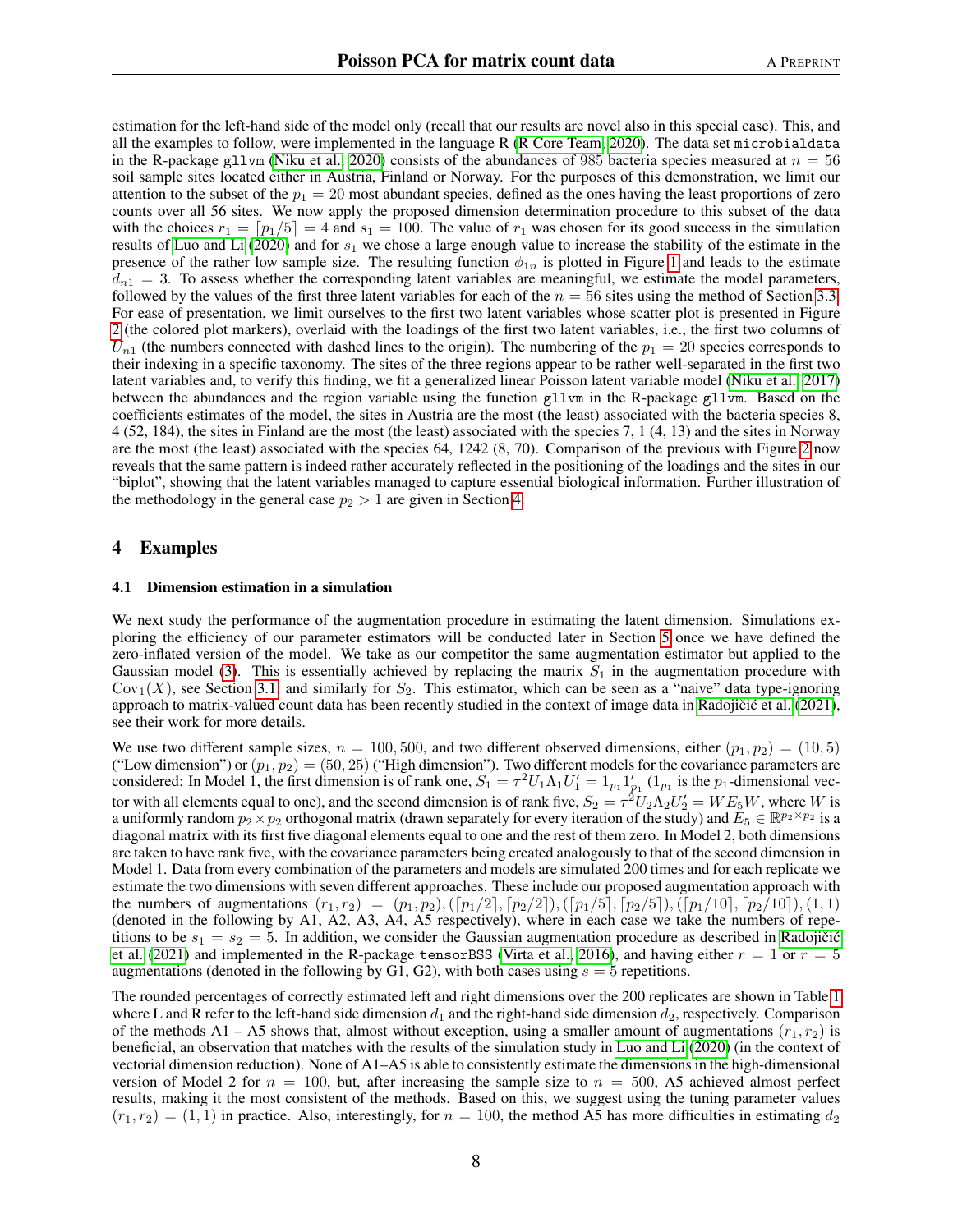estimation for the left-hand side of the model only (recall that our results are novel also in this special case). This, and all the examples to follow, were implemented in the language R [\(R Core Team, 2020\)](#page-18-10). The data set microbialdata in the R-package gllvm [\(Niku et al., 2020\)](#page-18-11) consists of the abundances of 985 bacteria species measured at  $n = 56$ soil sample sites located either in Austria, Finland or Norway. For the purposes of this demonstration, we limit our attention to the subset of the  $p_1 = 20$  most abundant species, defined as the ones having the least proportions of zero counts over all 56 sites. We now apply the proposed dimension determination procedure to this subset of the data with the choices  $r_1 = \lfloor p_1/5 \rfloor = 4$  and  $s_1 = 100$ . The value of  $r_1$  was chosen for its good success in the simulation results of [Luo and Li](#page-18-5) [\(2020\)](#page-18-5) and for  $s_1$  we chose a large enough value to increase the stability of the estimate in the presence of the rather low sample size. The resulting function  $\phi_{1n}$  is plotted in Figure [1](#page-6-1) and leads to the estimate  $d_{n1} = 3$ . To assess whether the corresponding latent variables are meaningful, we estimate the model parameters, followed by the values of the first three latent variables for each of the  $n = 56$  sites using the method of Section [3.3.](#page-4-1) For ease of presentation, we limit ourselves to the first two latent variables whose scatter plot is presented in Figure [2](#page-8-0) (the colored plot markers), overlaid with the loadings of the first two latent variables, i.e., the first two columns of  $U_{n1}$  (the numbers connected with dashed lines to the origin). The numbering of the  $p_1 = 20$  species corresponds to their indexing in a specific taxonomy. The sites of the three regions appear to be rather well-separated in the first two latent variables and, to verify this finding, we fit a generalized linear Poisson latent variable model [\(Niku et al., 2017\)](#page-18-12) between the abundances and the region variable using the function gllvm in the R-package gllvm. Based on the coefficients estimates of the model, the sites in Austria are the most (the least) associated with the bacteria species 8, 4 (52, 184), the sites in Finland are the most (the least) associated with the species 7, 1 (4, 13) and the sites in Norway are the most (the least) associated with the species 64, 1242 (8, 70). Comparison of the previous with Figure [2](#page-8-0) now reveals that the same pattern is indeed rather accurately reflected in the positioning of the loadings and the sites in our "biplot", showing that the latent variables managed to capture essential biological information. Further illustration of the methodology in the general case  $p_2 > 1$  are given in Section [4.](#page-7-0)

## <span id="page-7-0"></span>4 Examples

#### 4.1 Dimension estimation in a simulation

We next study the performance of the augmentation procedure in estimating the latent dimension. Simulations exploring the efficiency of our parameter estimators will be conducted later in Section [5](#page-11-0) once we have defined the zero-inflated version of the model. We take as our competitor the same augmentation estimator but applied to the Gaussian model [\(3\)](#page-2-1). This is essentially achieved by replacing the matrix  $S_1$  in the augmentation procedure with  $Cov<sub>1</sub>(X)$ , see Section [3.1,](#page-2-4) and similarly for  $S<sub>2</sub>$ . This estimator, which can be seen as a "naive" data type-ignoring approach to matrix-valued count data has been recently studied in the context of image data in Radojičić et al.  $(2021)$ , see their work for more details.

We use two different sample sizes,  $n = 100, 500$ , and two different observed dimensions, either  $(p_1, p_2) = (10, 5)$ ("Low dimension") or  $(p_1, p_2) = (50, 25)$  ("High dimension"). Two different models for the covariance parameters are considered: In Model 1, the first dimension is of rank one,  $S_1 = \tau^2 U_1 \Lambda_1 U_1' = 1_{p_1} 1'_{p_1}$  ( $1_{p_1}$  is the  $p_1$ -dimensional vector with all elements equal to one), and the second dimension is of rank five,  $S_2 = \tau^2 U_2 \Lambda_2 U_2' = W E_5 W$ , where W is a uniformly random  $p_2 \times p_2$  orthogonal matrix (drawn separately for every iteration of the study) and  $E_5 \in \mathbb{R}^{p_2 \times p_2}$  is a diagonal matrix with its first five diagonal elements equal to one and the rest of them zero. In Model 2, both dimensions are taken to have rank five, with the covariance parameters being created analogously to that of the second dimension in Model 1. Data from every combination of the parameters and models are simulated 200 times and for each replicate we estimate the two dimensions with seven different approaches. These include our proposed augmentation approach with the numbers of augmentations  $(r_1, r_2) = (p_1, p_2), (\lceil p_1/2 \rceil, \lceil p_2/2 \rceil), (\lceil p_1/5 \rceil, \lceil p_2/5 \rceil), (\lceil p_1/10 \rceil, \lceil p_2/10 \rceil), (1, 1)$ (denoted in the following by A1, A2, A3, A4, A5 respectively), where in each case we take the numbers of repetitions to be  $s_1 = s_2 = 5$ . In addition, we consider the Gaussian augmentation procedure as described in Radojičić [et al.](#page-18-13) [\(2021\)](#page-18-13) and implemented in the R-package tensorBSS [\(Virta et al., 2016\)](#page-18-14), and having either  $r = 1$  or  $r = 5$ augmentations (denoted in the following by G1, G2), with both cases using  $s = 5$  repetitions.

The rounded percentages of correctly estimated left and right dimensions over the 200 replicates are shown in Table [1](#page-9-0) where L and R refer to the left-hand side dimension  $d_1$  and the right-hand side dimension  $d_2$ , respectively. Comparison of the methods A1 – A5 shows that, almost without exception, using a smaller amount of augmentations  $(r_1, r_2)$  is beneficial, an observation that matches with the results of the simulation study in [Luo and Li](#page-18-5) [\(2020\)](#page-18-5) (in the context of vectorial dimension reduction). None of A1–A5 is able to consistently estimate the dimensions in the high-dimensional version of Model 2 for  $n = 100$ , but, after increasing the sample size to  $n = 500$ , A5 achieved almost perfect results, making it the most consistent of the methods. Based on this, we suggest using the tuning parameter values  $(r_1, r_2) = (1, 1)$  in practice. Also, interestingly, for  $n = 100$ , the method A5 has more difficulties in estimating  $d_2$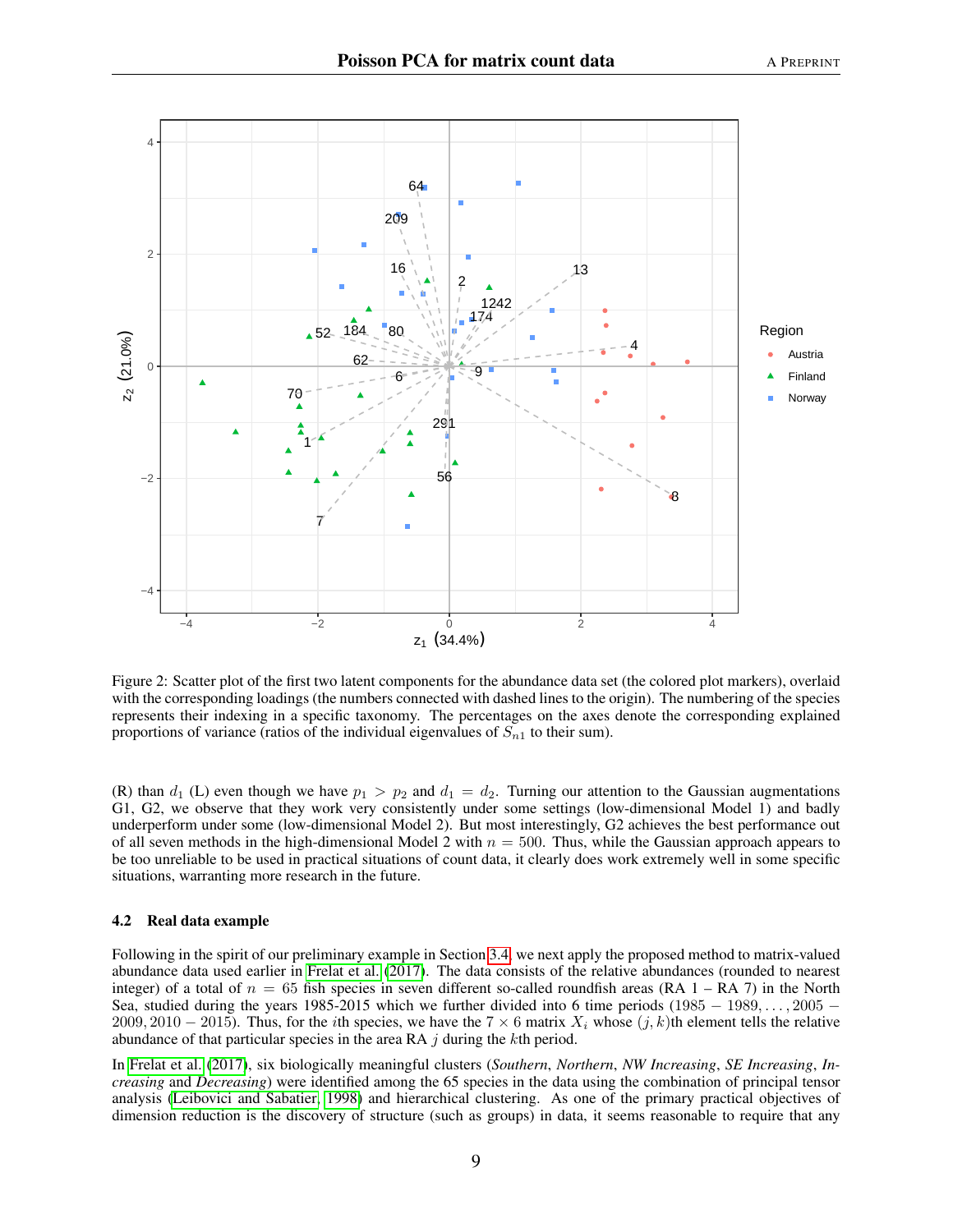

<span id="page-8-0"></span>Figure 2: Scatter plot of the first two latent components for the abundance data set (the colored plot markers), overlaid with the corresponding loadings (the numbers connected with dashed lines to the origin). The numbering of the species represents their indexing in a specific taxonomy. The percentages on the axes denote the corresponding explained proportions of variance (ratios of the individual eigenvalues of  $S_{n1}$  to their sum).

(R) than  $d_1$  (L) even though we have  $p_1 > p_2$  and  $d_1 = d_2$ . Turning our attention to the Gaussian augmentations G1, G2, we observe that they work very consistently under some settings (low-dimensional Model 1) and badly underperform under some (low-dimensional Model 2). But most interestingly, G2 achieves the best performance out of all seven methods in the high-dimensional Model 2 with  $n = 500$ . Thus, while the Gaussian approach appears to be too unreliable to be used in practical situations of count data, it clearly does work extremely well in some specific situations, warranting more research in the future.

#### 4.2 Real data example

Following in the spirit of our preliminary example in Section [3.4,](#page-5-0) we next apply the proposed method to matrix-valued abundance data used earlier in [Frelat et al.](#page-17-1) [\(2017\)](#page-17-1). The data consists of the relative abundances (rounded to nearest integer) of a total of  $n = 65$  fish species in seven different so-called roundfish areas (RA 1 – RA 7) in the North Sea, studied during the years 1985-2015 which we further divided into 6 time periods (1985 − 1989, ..., 2005 − 2009, 2010 − 2015). Thus, for the *i*th species, we have the 7  $\times$  6 matrix  $X_i$  whose  $(j, k)$ th element tells the relative abundance of that particular species in the area RA  $j$  during the kth period.

In [Frelat et al.](#page-17-1) [\(2017\)](#page-17-1), six biologically meaningful clusters (*Southern*, *Northern*, *NW Increasing*, *SE Increasing*, *Increasing* and *Decreasing*) were identified among the 65 species in the data using the combination of principal tensor analysis [\(Leibovici and Sabatier, 1998\)](#page-17-19) and hierarchical clustering. As one of the primary practical objectives of dimension reduction is the discovery of structure (such as groups) in data, it seems reasonable to require that any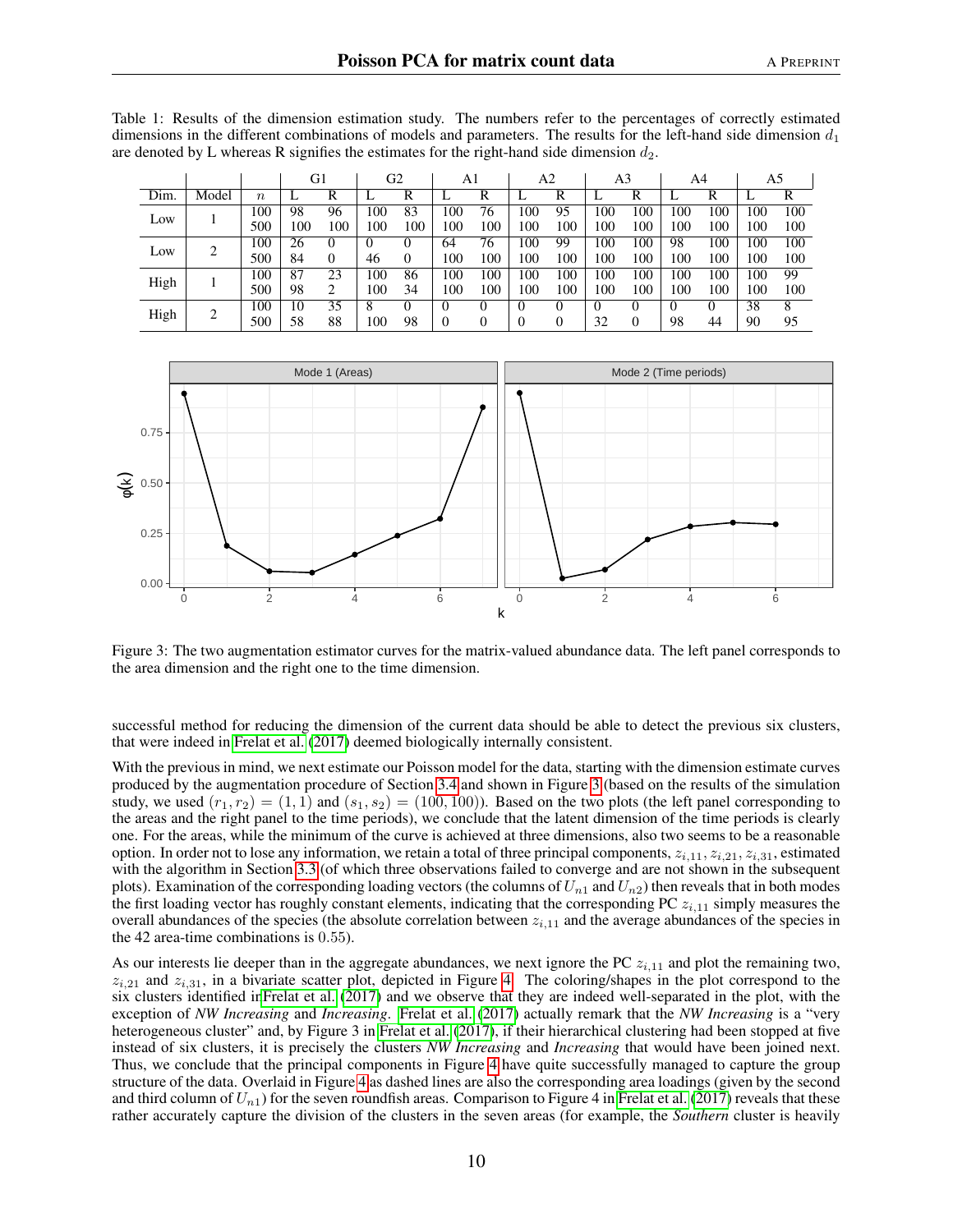|      |       |        |     | G2<br>G1 |     | A1  |          | A2       |         | A3  |     | A4  |     | A5       |                  |     |
|------|-------|--------|-----|----------|-----|-----|----------|----------|---------|-----|-----|-----|-----|----------|------------------|-----|
| Dim. | Model | $\, n$ |     | R        |     | R   |          | R        | ⊥       | R   |     | R   |     | R        | ⊥                | R   |
| Low  |       | 100    | 98  | 96       | 100 | 83  | 100      | 76       | $100 -$ | 95  | 00  | 100 | 100 | 100      | .00              | 100 |
|      |       | 500    | 100 | 100      | 100 | 100 | 100      | 100      | 100     | 100 | 100 | 100 | 100 | 100      | 100              | 100 |
| Low  | 2     | 100    | 26  |          |     |     | 64       | 76       | 100     | 99  | 100 | 100 | 98  | 100      | 100              | 100 |
|      |       | 500    | 84  | $\theta$ | 46  | 0   | 100      | 100      | 100     | 100 | 100 | 100 | 100 | 100      | 100 <sub>1</sub> | 100 |
| High |       | 100    | 87  | 23       | 100 | 86  | 100      | 100      | 100     | 100 | 100 | 100 | 100 | 100      | 100              | 99  |
|      |       | 500    | 98  | ↑        | 100 | 34  | 100      | 100      | 100     | 100 | 100 | 100 | 100 | 100      | 100              | 100 |
| High | 2     | 100    | 10  | 35       | 8   |     |          | $\theta$ |         |     |     |     |     | $^{(1)}$ | 38               | 8   |
|      |       | 500    | 58  | 88       | 100 | 98  | $\Omega$ | 0        |         |     | 32  |     | 98  | 44       | 90               | 95  |

<span id="page-9-0"></span>Table 1: Results of the dimension estimation study. The numbers refer to the percentages of correctly estimated dimensions in the different combinations of models and parameters. The results for the left-hand side dimension  $d_1$ are denoted by L whereas R signifies the estimates for the right-hand side dimension  $d_2$ .



<span id="page-9-1"></span>Figure 3: The two augmentation estimator curves for the matrix-valued abundance data. The left panel corresponds to the area dimension and the right one to the time dimension.

successful method for reducing the dimension of the current data should be able to detect the previous six clusters, that were indeed in [Frelat et al.](#page-17-1) [\(2017\)](#page-17-1) deemed biologically internally consistent.

With the previous in mind, we next estimate our Poisson model for the data, starting with the dimension estimate curves produced by the augmentation procedure of Section [3.4](#page-5-0) and shown in Figure [3](#page-9-1) (based on the results of the simulation study, we used  $(r_1, r_2) = (1, 1)$  and  $(s_1, s_2) = (100, 100)$ . Based on the two plots (the left panel corresponding to the areas and the right panel to the time periods), we conclude that the latent dimension of the time periods is clearly one. For the areas, while the minimum of the curve is achieved at three dimensions, also two seems to be a reasonable option. In order not to lose any information, we retain a total of three principal components,  $z_{i,11}, z_{i,21}, z_{i,31}$ , estimated with the algorithm in Section [3.3](#page-4-1) (of which three observations failed to converge and are not shown in the subsequent plots). Examination of the corresponding loading vectors (the columns of  $U_{n1}$  and  $U_{n2}$ ) then reveals that in both modes the first loading vector has roughly constant elements, indicating that the corresponding PC  $z_{i,11}$  simply measures the overall abundances of the species (the absolute correlation between  $z_{i,11}$  and the average abundances of the species in the 42 area-time combinations is 0.55).

As our interests lie deeper than in the aggregate abundances, we next ignore the PC  $z_{i,11}$  and plot the remaining two,  $z_{i,21}$  and  $z_{i,31}$ , in a bivariate scatter plot, depicted in Figure [4.](#page-10-0) The coloring/shapes in the plot correspond to the six clusters identified i[nFrelat et al.](#page-17-1) [\(2017\)](#page-17-1) and we observe that they are indeed well-separated in the plot, with the exception of *NW Increasing* and *Increasing*. [Frelat et al.](#page-17-1) [\(2017\)](#page-17-1) actually remark that the *NW Increasing* is a "very heterogeneous cluster" and, by Figure 3 in [Frelat et al.](#page-17-1) [\(2017\)](#page-17-1), if their hierarchical clustering had been stopped at five instead of six clusters, it is precisely the clusters *NW Increasing* and *Increasing* that would have been joined next. Thus, we conclude that the principal components in Figure [4](#page-10-0) have quite successfully managed to capture the group structure of the data. Overlaid in Figure [4](#page-10-0) as dashed lines are also the corresponding area loadings (given by the second and third column of  $U_{n1}$ ) for the seven roundfish areas. Comparison to Figure 4 in [Frelat et al.](#page-17-1) [\(2017\)](#page-17-1) reveals that these rather accurately capture the division of the clusters in the seven areas (for example, the *Southern* cluster is heavily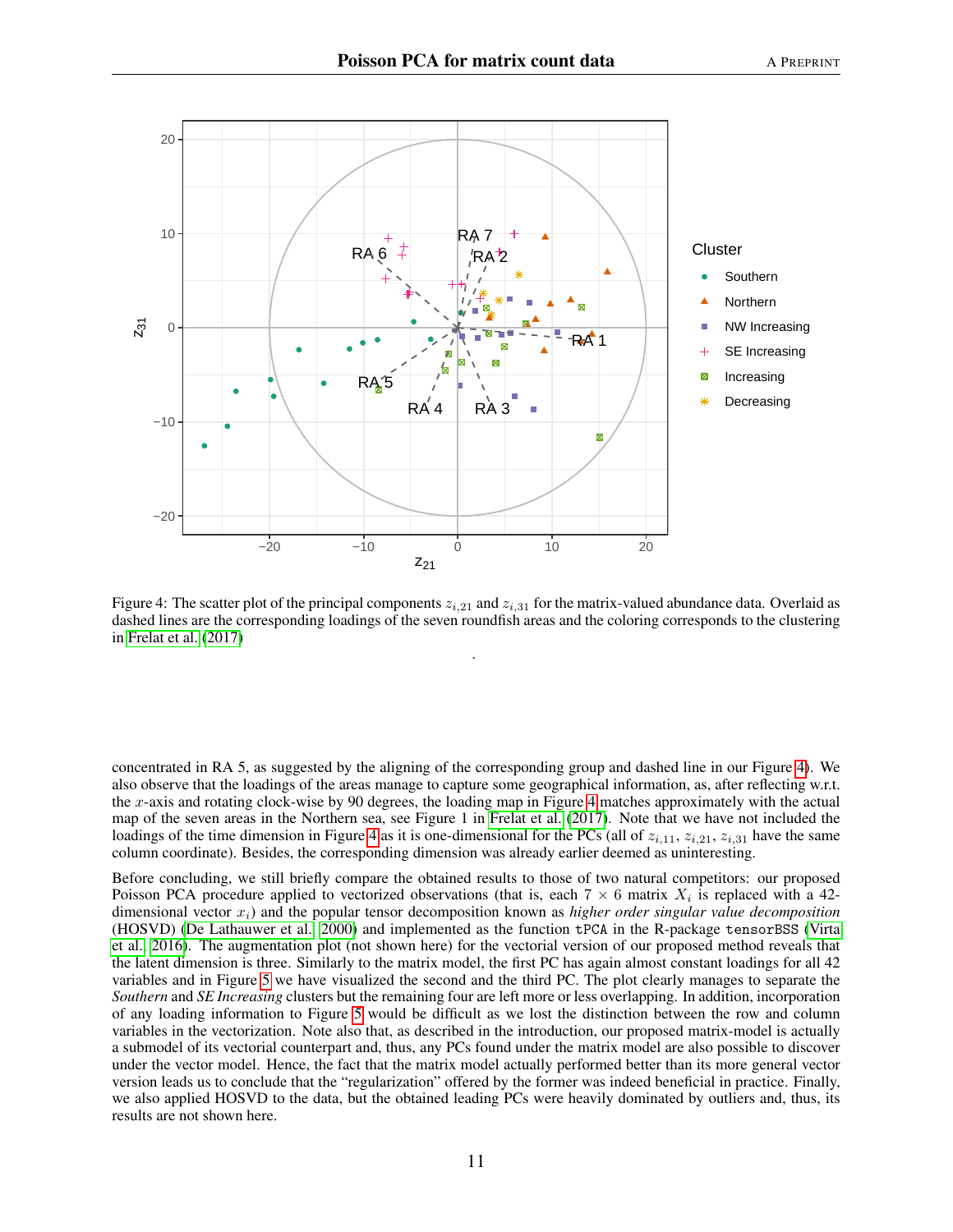

<span id="page-10-0"></span>Figure 4: The scatter plot of the principal components  $z_{i,21}$  and  $z_{i,31}$  for the matrix-valued abundance data. Overlaid as dashed lines are the corresponding loadings of the seven roundfish areas and the coloring corresponds to the clustering in [Frelat et al.](#page-17-1) [\(2017\)](#page-17-1)

.

concentrated in RA 5, as suggested by the aligning of the corresponding group and dashed line in our Figure [4\)](#page-10-0). We also observe that the loadings of the areas manage to capture some geographical information, as, after reflecting w.r.t. the x-axis and rotating clock-wise by 90 degrees, the loading map in Figure [4](#page-10-0) matches approximately with the actual map of the seven areas in the Northern sea, see Figure 1 in [Frelat et al.](#page-17-1) [\(2017\)](#page-17-1). Note that we have not included the loadings of the time dimension in Figure [4](#page-10-0) as it is one-dimensional for the PCs (all of  $z_{i,11}$ ,  $z_{i,21}$ ,  $z_{i,31}$  have the same column coordinate). Besides, the corresponding dimension was already earlier deemed as uninteresting.

Before concluding, we still briefly compare the obtained results to those of two natural competitors: our proposed Poisson PCA procedure applied to vectorized observations (that is, each  $7 \times 6$  matrix  $X_i$  is replaced with a 42dimensional vector xi) and the popular tensor decomposition known as *higher order singular value decomposition* (HOSVD) [\(De Lathauwer et al., 2000\)](#page-17-6) and implemented as the function tPCA in the R-package tensorBSS [\(Virta](#page-18-14) [et al., 2016\)](#page-18-14). The augmentation plot (not shown here) for the vectorial version of our proposed method reveals that the latent dimension is three. Similarly to the matrix model, the first PC has again almost constant loadings for all 42 variables and in Figure [5](#page-11-1) we have visualized the second and the third PC. The plot clearly manages to separate the *Southern* and *SE Increasing* clusters but the remaining four are left more or less overlapping. In addition, incorporation of any loading information to Figure [5](#page-11-1) would be difficult as we lost the distinction between the row and column variables in the vectorization. Note also that, as described in the introduction, our proposed matrix-model is actually a submodel of its vectorial counterpart and, thus, any PCs found under the matrix model are also possible to discover under the vector model. Hence, the fact that the matrix model actually performed better than its more general vector version leads us to conclude that the "regularization" offered by the former was indeed beneficial in practice. Finally, we also applied HOSVD to the data, but the obtained leading PCs were heavily dominated by outliers and, thus, its results are not shown here.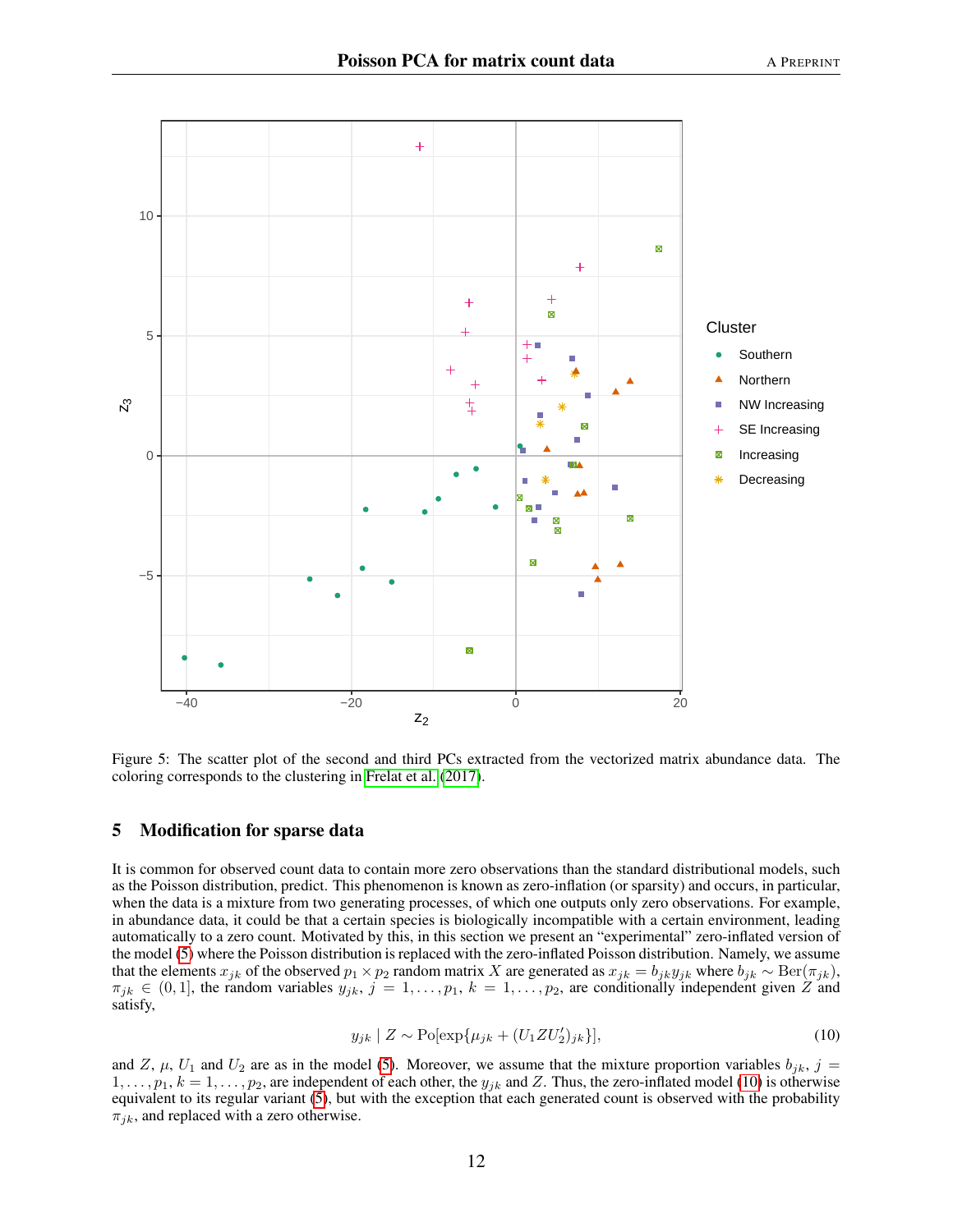

<span id="page-11-1"></span>Figure 5: The scatter plot of the second and third PCs extracted from the vectorized matrix abundance data. The coloring corresponds to the clustering in [Frelat et al.](#page-17-1) [\(2017\)](#page-17-1).

# <span id="page-11-0"></span>5 Modification for sparse data

It is common for observed count data to contain more zero observations than the standard distributional models, such as the Poisson distribution, predict. This phenomenon is known as zero-inflation (or sparsity) and occurs, in particular, when the data is a mixture from two generating processes, of which one outputs only zero observations. For example, in abundance data, it could be that a certain species is biologically incompatible with a certain environment, leading automatically to a zero count. Motivated by this, in this section we present an "experimental" zero-inflated version of the model [\(5\)](#page-2-3) where the Poisson distribution is replaced with the zero-inflated Poisson distribution. Namely, we assume that the elements  $x_{jk}$  of the observed  $p_1 \times p_2$  random matrix X are generated as  $x_{jk} = b_{jk}y_{jk}$  where  $b_{jk} \sim \text{Ber}(\pi_{jk})$ ,  $\pi_{jk} \in (0,1]$ , the random variables  $y_{jk}$ ,  $j = 1, \ldots, p_1$ ,  $k = 1, \ldots, p_2$ , are conditionally independent given Z and satisfy,

<span id="page-11-2"></span>
$$
y_{jk} \mid Z \sim \text{Po}[\exp\{\mu_{jk} + (U_1 Z U_2')_{jk}\}], \tag{10}
$$

and Z,  $\mu$ ,  $U_1$  and  $U_2$  are as in the model [\(5\)](#page-2-3). Moreover, we assume that the mixture proportion variables  $b_{jk}$ ,  $j =$  $1, \ldots, p_1, k = 1, \ldots, p_2$ , are independent of each other, the  $y_{jk}$  and Z. Thus, the zero-inflated model [\(10\)](#page-11-2) is otherwise equivalent to its regular variant [\(5\)](#page-2-3), but with the exception that each generated count is observed with the probability  $\pi_{jk}$ , and replaced with a zero otherwise.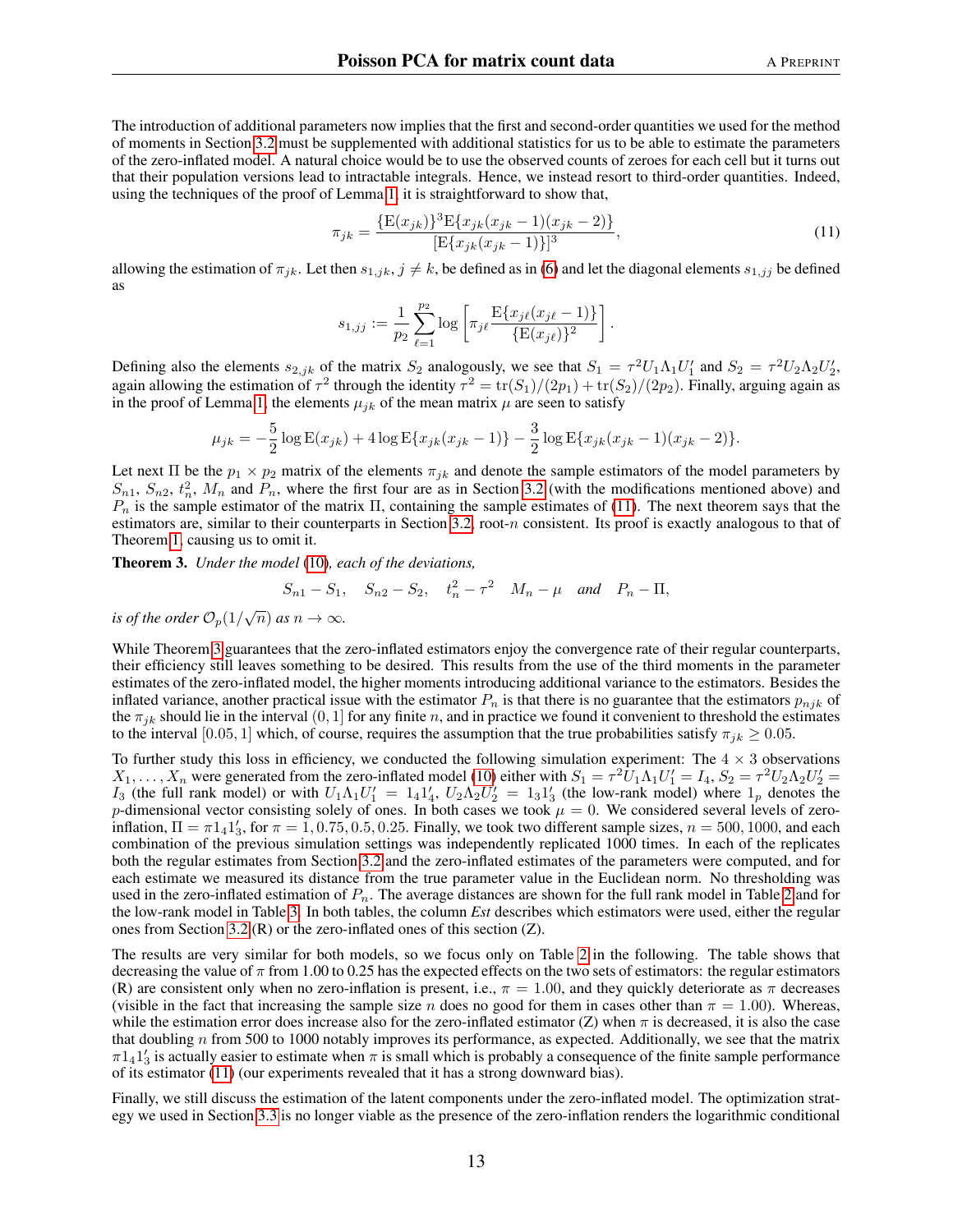The introduction of additional parameters now implies that the first and second-order quantities we used for the method of moments in Section [3.2](#page-3-3) must be supplemented with additional statistics for us to be able to estimate the parameters of the zero-inflated model. A natural choice would be to use the observed counts of zeroes for each cell but it turns out that their population versions lead to intractable integrals. Hence, we instead resort to third-order quantities. Indeed, using the techniques of the proof of Lemma [1,](#page-3-0) it is straightforward to show that,

<span id="page-12-0"></span>
$$
\pi_{jk} = \frac{\{\mathcal{E}(x_{jk})\}^3 \mathcal{E}\{x_{jk}(x_{jk} - 1)(x_{jk} - 2)\}}{[\mathcal{E}\{x_{jk}(x_{jk} - 1)\}]^3},\tag{11}
$$

allowing the estimation of  $\pi_{jk}$ . Let then  $s_{1,jk}$ ,  $j \neq k$ , be defined as in [\(6\)](#page-3-2) and let the diagonal elements  $s_{1,jj}$  be defined as

$$
s_{1,jj} := \frac{1}{p_2} \sum_{\ell=1}^{p_2} \log \left[ \pi_{j\ell} \frac{\mathbb{E}\{x_{j\ell}(x_{j\ell} - 1)\}}{\{\mathbb{E}(x_{j\ell})\}^2} \right].
$$

Defining also the elements  $s_{2,jk}$  of the matrix  $S_2$  analogously, we see that  $S_1 = \tau^2 U_1 \Lambda_1 U_1'$  and  $S_2 = \tau^2 U_2 \Lambda_2 U_2'$ , again allowing the estimation of  $\tau^2$  through the identity  $\tau^2 = \text{tr}(S_1)/(2p_1) + \text{tr}(S_2)/(2p_2)$ . Finally, arguing again as in the proof of Lemma [1,](#page-3-0) the elements  $\mu_{jk}$  of the mean matrix  $\mu$  are seen to satisfy

$$
\mu_{jk} = -\frac{5}{2}\log E(x_{jk}) + 4\log E\{x_{jk}(x_{jk} - 1)\} - \frac{3}{2}\log E\{x_{jk}(x_{jk} - 1)(x_{jk} - 2)\}.
$$

Let next Π be the  $p_1 \times p_2$  matrix of the elements  $\pi_{jk}$  and denote the sample estimators of the model parameters by  $S_{n1}$ ,  $S_{n2}$ ,  $t_n^2$ ,  $M_n$  and  $P_n$ , where the first four are as in Section [3.2](#page-3-3) (with the modifications mentioned above) and  $P_n$  is the sample estimator of the matrix  $\Pi$ , containing the sample estimates of [\(11\)](#page-12-0). The next theorem says that the estimators are, similar to their counterparts in Section [3.2,](#page-3-3) root-n consistent. Its proof is exactly analogous to that of Theorem [1,](#page-4-0) causing us to omit it.

<span id="page-12-1"></span>Theorem 3. *Under the model* [\(10\)](#page-11-2)*, each of the deviations,*

$$
S_{n1} - S_1
$$
,  $S_{n2} - S_2$ ,  $t_n^2 - \tau^2$   $M_n - \mu$  and  $P_n - \Pi$ ,

*is of the order*  $\mathcal{O}_p(1/\sqrt{n})$  *as*  $n \to \infty$ *.* 

While Theorem [3](#page-12-1) guarantees that the zero-inflated estimators enjoy the convergence rate of their regular counterparts, their efficiency still leaves something to be desired. This results from the use of the third moments in the parameter estimates of the zero-inflated model, the higher moments introducing additional variance to the estimators. Besides the inflated variance, another practical issue with the estimator  $P_n$  is that there is no guarantee that the estimators  $p_{njk}$  of the  $\pi_{ik}$  should lie in the interval  $(0, 1]$  for any finite n, and in practice we found it convenient to threshold the estimates to the interval [0.05, 1] which, of course, requires the assumption that the true probabilities satisfy  $\pi_{ik} \geq 0.05$ .

To further study this loss in efficiency, we conducted the following simulation experiment: The  $4 \times 3$  observations  $X_1, \ldots, X_n$  were generated from the zero-inflated model [\(10\)](#page-11-2) either with  $S_1 = \tau^2 \tilde{U}_1 \Lambda_1 U_1' = I_4$ ,  $S_2 = \tau^2 U_2 \Lambda_2 U_2' =$  $I_3$  (the full rank model) or with  $U_1 \Lambda_1 U_1' = 1_4 1_4'$ ,  $U_2 \Lambda_2 U_2' = 1_3 1_3'$  (the low-rank model) where  $1_p$  denotes the p-dimensional vector consisting solely of ones. In both cases we took  $\mu = 0$ . We considered several levels of zeroinflation,  $\Pi = \pi 1_4 1'_3$ , for  $\pi = 1, 0.75, 0.5, 0.25$ . Finally, we took two different sample sizes,  $n = 500, 1000$ , and each combination of the previous simulation settings was independently replicated 1000 times. In each of the replicates both the regular estimates from Section [3.2](#page-3-3) and the zero-inflated estimates of the parameters were computed, and for each estimate we measured its distance from the true parameter value in the Euclidean norm. No thresholding was used in the zero-inflated estimation of  $P_n$ . The average distances are shown for the full rank model in Table [2](#page-13-0) and for the low-rank model in Table [3.](#page-13-1) In both tables, the column *Est* describes which estimators were used, either the regular ones from Section [3.2](#page-3-3) (R) or the zero-inflated ones of this section (Z).

The results are very similar for both models, so we focus only on Table [2](#page-13-0) in the following. The table shows that decreasing the value of  $\pi$  from 1.00 to 0.25 has the expected effects on the two sets of estimators: the regular estimators (R) are consistent only when no zero-inflation is present, i.e.,  $\pi = 1.00$ , and they quickly deteriorate as  $\pi$  decreases (visible in the fact that increasing the sample size n does no good for them in cases other than  $\pi = 1.00$ ). Whereas, while the estimation error does increase also for the zero-inflated estimator (Z) when  $\pi$  is decreased, it is also the case that doubling n from 500 to 1000 notably improves its performance, as expected. Additionally, we see that the matrix  $\pi 1_4 1_3'$  is actually easier to estimate when  $\pi$  is small which is probably a consequence of the finite sample performance of its estimator [\(11\)](#page-12-0) (our experiments revealed that it has a strong downward bias).

Finally, we still discuss the estimation of the latent components under the zero-inflated model. The optimization strategy we used in Section [3.3](#page-4-1) is no longer viable as the presence of the zero-inflation renders the logarithmic conditional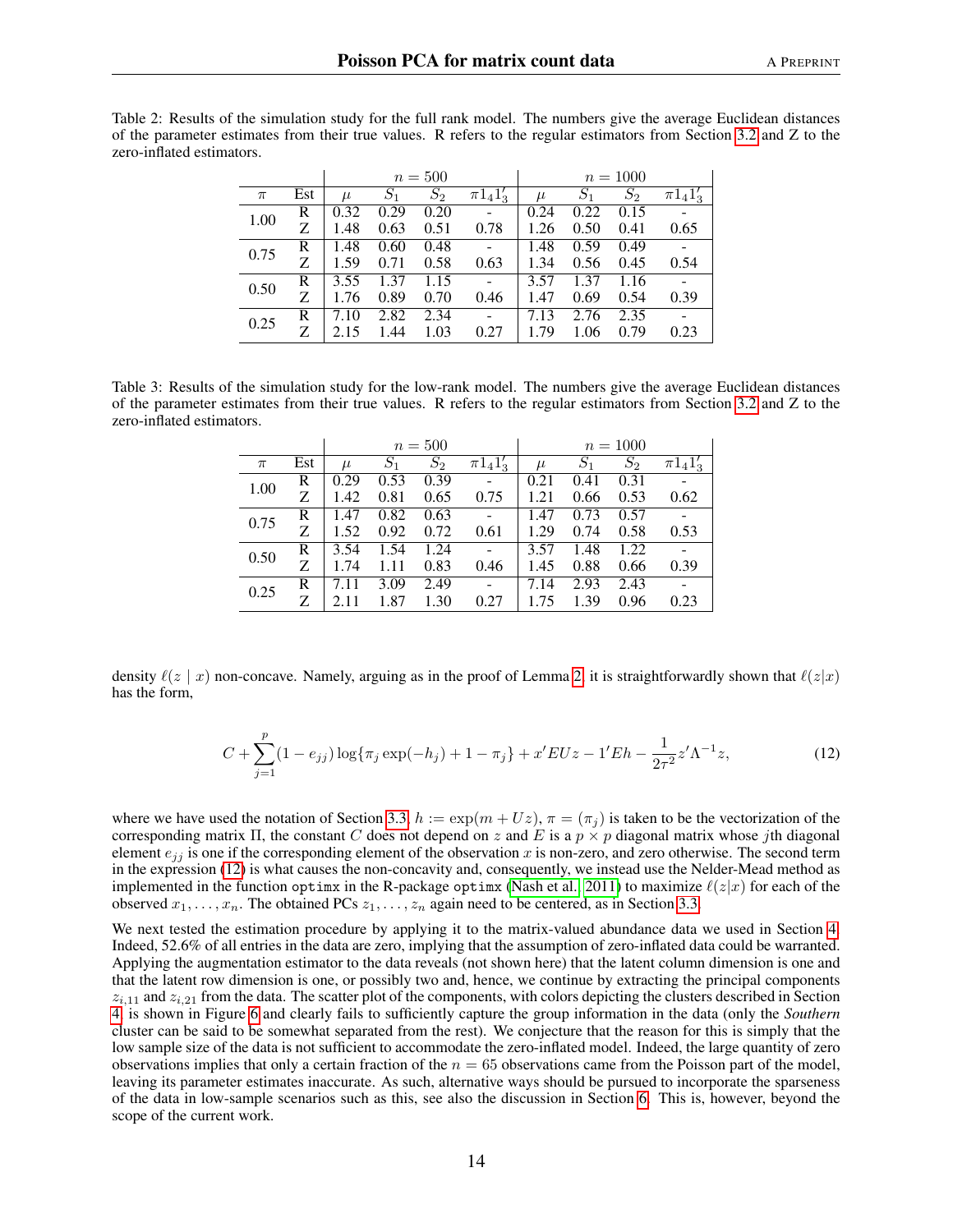<span id="page-13-0"></span>

| Table 2: Results of the simulation study for the full rank model. The numbers give the average Euclidean distances  |  |  |  |
|---------------------------------------------------------------------------------------------------------------------|--|--|--|
| of the parameter estimates from their true values. R refers to the regular estimators from Section 3.2 and Z to the |  |  |  |
| zero-inflated estimators.                                                                                           |  |  |  |

|       |     |       |       | $n=500$          |                | $n = 1000$ |       |       |                |  |
|-------|-----|-------|-------|------------------|----------------|------------|-------|-------|----------------|--|
| $\pi$ | Est | $\mu$ | $S_1$ | $\overline{S}_2$ | $\pi 1_4 1'_3$ | $\mu$      | $S_1$ | $S_2$ | $\pi 1_4 1'_3$ |  |
| 1.00  | R   | 0.32  | 0.29  | 0.20             |                | 0.24       | 0.22  | 0.15  |                |  |
|       | Z   | 1.48  | 0.63  | 0.51             | 0.78           | 1.26       | 0.50  | 0.41  | 0.65           |  |
| 0.75  | R   | 1.48  | 0.60  | 0.48             |                | 1.48       | 0.59  | 0.49  |                |  |
|       |     | 1.59  | 0.71  | 0.58             | 0.63           | 1.34       | 0.56  | 0.45  | 0.54           |  |
| 0.50  | R   | 3.55  | 1.37  | 1.15             | -              | 3.57       | 1.37  | 1.16  |                |  |
|       | Z   | 1.76  | 0.89  | 0.70             | 0.46           | 1.47       | 0.69  | 0.54  | 0.39           |  |
| 0.25  | R   | 7.10  | 2.82  | 2.34             |                | 7.13       | 2.76  | 2.35  |                |  |
|       | 7.  | 2.15  | 1.44  | 1.03             | 0.27           | 1.79       | 1.06  | 0.79  | 0.23           |  |

<span id="page-13-1"></span>Table 3: Results of the simulation study for the low-rank model. The numbers give the average Euclidean distances of the parameter estimates from their true values. R refers to the regular estimators from Section [3.2](#page-3-3) and Z to the zero-inflated estimators.

|       |     |       |       | $n = 500$ |                 | $n = 1000$ |       |       |                |  |
|-------|-----|-------|-------|-----------|-----------------|------------|-------|-------|----------------|--|
| $\pi$ | Est | $\mu$ | $S_1$ | $S_2$     | $\pi 1_4 1_3^7$ | $\mu$      | $S_1$ | $S_2$ | $\pi 1_4 1'_3$ |  |
| 1.00  | R   | 0.29  | 0.53  | 0.39      |                 | 0.21       | 0.41  | 0.31  |                |  |
|       | Z   | 1.42  | 0.81  | 0.65      | 0.75            | 1.21       | 0.66  | 0.53  | 0.62           |  |
| 0.75  | R   | 1.47  | 0.82  | 0.63      |                 | 1.47       | 0.73  | 0.57  |                |  |
|       | Z   | 1.52  | 0.92  | 0.72      | 0.61            | 1.29       | 0.74  | 0.58  | 0.53           |  |
| 0.50  | R   | 3.54  | 1.54  | 1.24      |                 | 3.57       | 1.48  | 1.22  |                |  |
|       | Ζ   | 1.74  | 1.11  | 0.83      | 0.46            | 1.45       | 0.88  | 0.66  | 0.39           |  |
| 0.25  | R   | 7.11  | 3.09  | 2.49      |                 | 7.14       | 2.93  | 2.43  |                |  |
|       | Z   |       | 1.87  | 1.30      | 0.27            | 1.75       | 1.39  | 0.96  | 0.23           |  |

density  $\ell(z | x)$  non-concave. Namely, arguing as in the proof of Lemma [2,](#page-5-2) it is straightforwardly shown that  $\ell(z|x)$ has the form,

<span id="page-13-2"></span>
$$
C + \sum_{j=1}^{p} (1 - e_{jj}) \log \{ \pi_j \exp(-h_j) + 1 - \pi_j \} + x' EUz - 1'Eh - \frac{1}{2\tau^2} z' \Lambda^{-1} z,
$$
\n(12)

where we have used the notation of Section [3.3,](#page-4-1)  $h := \exp(m + Uz)$ ,  $\pi = (\pi_i)$  is taken to be the vectorization of the corresponding matrix Π, the constant C does not depend on z and E is a  $p \times p$  diagonal matrix whose jth diagonal element  $e_{ij}$  is one if the corresponding element of the observation x is non-zero, and zero otherwise. The second term in the expression [\(12\)](#page-13-2) is what causes the non-concavity and, consequently, we instead use the Nelder-Mead method as implemented in the function optimx in the R-package optimx [\(Nash et al., 2011\)](#page-18-15) to maximize  $\ell(z|x)$  for each of the observed  $x_1, \ldots, x_n$ . The obtained PCs  $z_1, \ldots, z_n$  again need to be centered, as in Section [3.3.](#page-4-1)

We next tested the estimation procedure by applying it to the matrix-valued abundance data we used in Section [4.](#page-7-0) Indeed, 52.6% of all entries in the data are zero, implying that the assumption of zero-inflated data could be warranted. Applying the augmentation estimator to the data reveals (not shown here) that the latent column dimension is one and that the latent row dimension is one, or possibly two and, hence, we continue by extracting the principal components  $z_{i,11}$  and  $z_{i,21}$  from the data. The scatter plot of the components, with colors depicting the clusters described in Section [4,](#page-7-0) is shown in Figure [6](#page-14-1) and clearly fails to sufficiently capture the group information in the data (only the *Southern* cluster can be said to be somewhat separated from the rest). We conjecture that the reason for this is simply that the low sample size of the data is not sufficient to accommodate the zero-inflated model. Indeed, the large quantity of zero observations implies that only a certain fraction of the  $n = 65$  observations came from the Poisson part of the model, leaving its parameter estimates inaccurate. As such, alternative ways should be pursued to incorporate the sparseness of the data in low-sample scenarios such as this, see also the discussion in Section [6.](#page-14-0) This is, however, beyond the scope of the current work.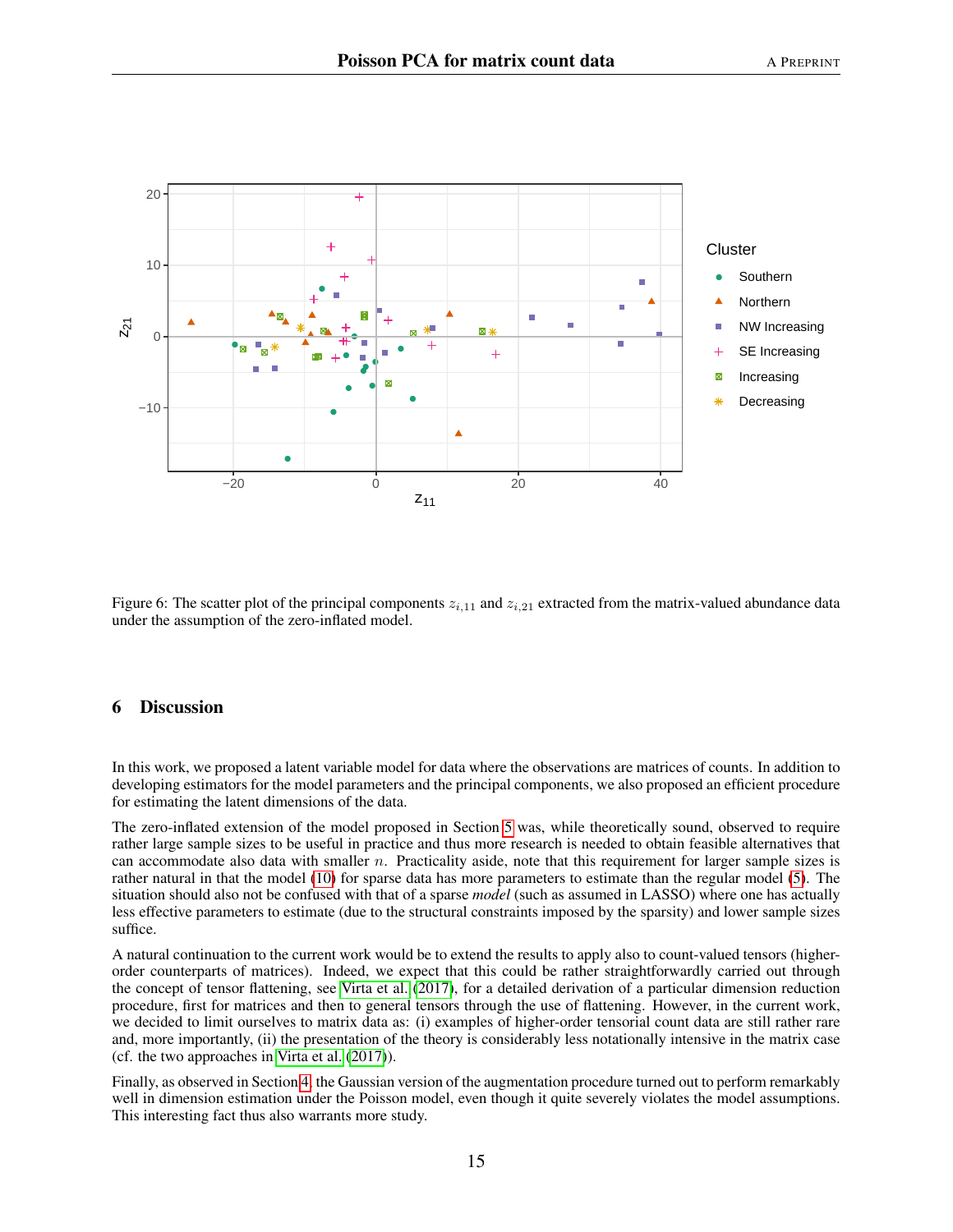

<span id="page-14-1"></span>Figure 6: The scatter plot of the principal components  $z_{i,11}$  and  $z_{i,21}$  extracted from the matrix-valued abundance data under the assumption of the zero-inflated model.

## <span id="page-14-0"></span>6 Discussion

In this work, we proposed a latent variable model for data where the observations are matrices of counts. In addition to developing estimators for the model parameters and the principal components, we also proposed an efficient procedure for estimating the latent dimensions of the data.

The zero-inflated extension of the model proposed in Section [5](#page-11-0) was, while theoretically sound, observed to require rather large sample sizes to be useful in practice and thus more research is needed to obtain feasible alternatives that can accommodate also data with smaller  $n$ . Practicality aside, note that this requirement for larger sample sizes is rather natural in that the model [\(10\)](#page-11-2) for sparse data has more parameters to estimate than the regular model [\(5\)](#page-2-3). The situation should also not be confused with that of a sparse *model* (such as assumed in LASSO) where one has actually less effective parameters to estimate (due to the structural constraints imposed by the sparsity) and lower sample sizes suffice.

A natural continuation to the current work would be to extend the results to apply also to count-valued tensors (higherorder counterparts of matrices). Indeed, we expect that this could be rather straightforwardly carried out through the concept of tensor flattening, see [Virta et al.](#page-18-2) [\(2017\)](#page-18-2), for a detailed derivation of a particular dimension reduction procedure, first for matrices and then to general tensors through the use of flattening. However, in the current work, we decided to limit ourselves to matrix data as: (i) examples of higher-order tensorial count data are still rather rare and, more importantly, (ii) the presentation of the theory is considerably less notationally intensive in the matrix case (cf. the two approaches in [Virta et al.](#page-18-2) [\(2017\)](#page-18-2)).

Finally, as observed in Section [4,](#page-7-0) the Gaussian version of the augmentation procedure turned out to perform remarkably well in dimension estimation under the Poisson model, even though it quite severely violates the model assumptions. This interesting fact thus also warrants more study.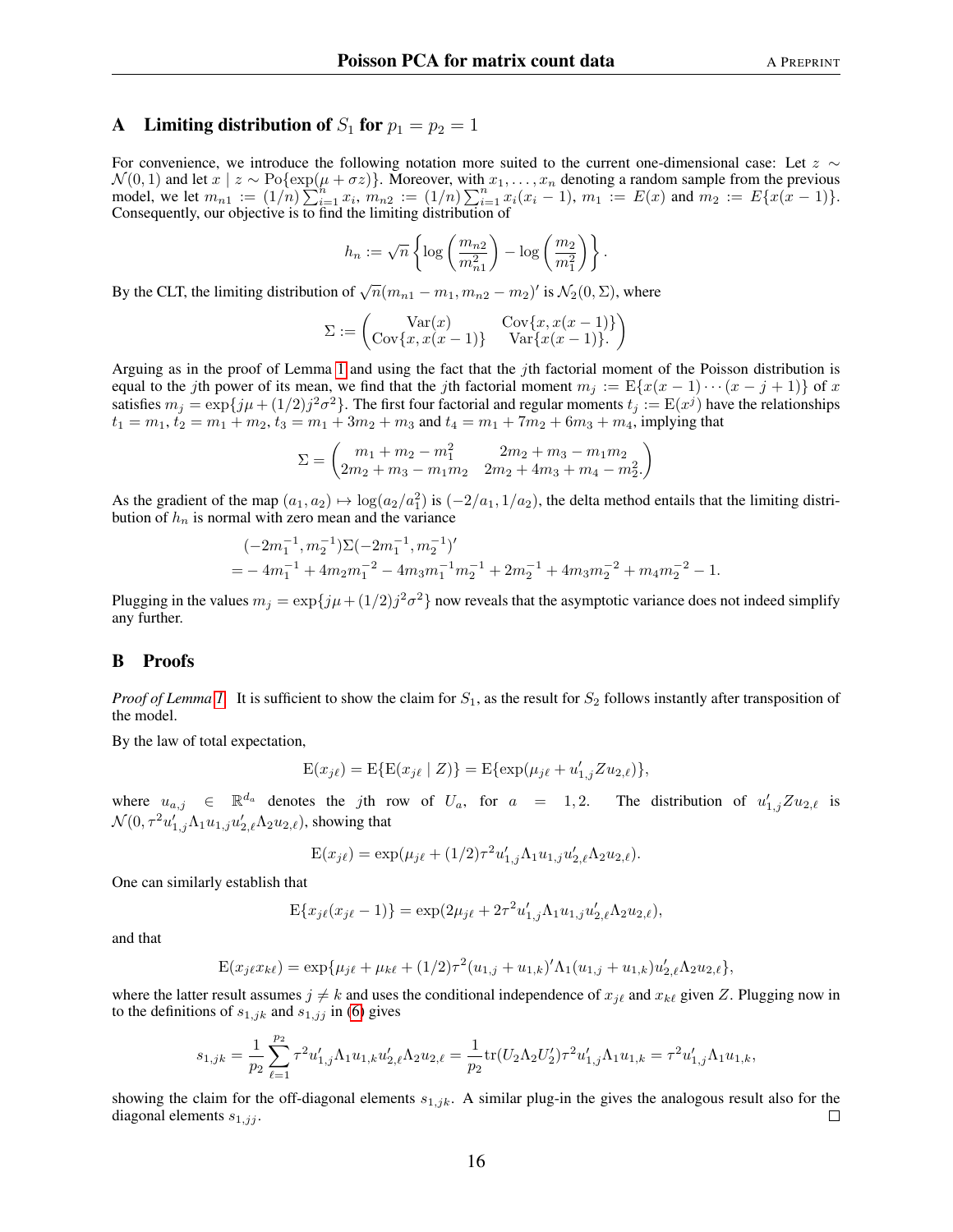## <span id="page-15-0"></span>A Limiting distribution of  $S_1$  for  $p_1 = p_2 = 1$

For convenience, we introduce the following notation more suited to the current one-dimensional case: Let  $z \sim$  $\mathcal{N}(0, 1)$  and let  $x \mid z \sim \text{Po}\{\exp(\mu + \sigma z)\}\.$  Moreover, with  $x_1, \ldots, x_n$  denoting a random sample from the previous model, we let  $m_{n_1} := (1/n) \sum_{i=1}^n x_i$ ,  $m_{n_2} := (1/n) \sum_{i=1}^n x_i (x_i - 1)$ ,  $m_1 := E(x)$  and  $m_2 := E(x(x - 1))$ . Consequently, our objective is to find the limiting distribution of

$$
h_n := \sqrt{n} \left\{ \log \left( \frac{m_{n2}}{m_{n1}^2} \right) - \log \left( \frac{m_2}{m_1^2} \right) \right\}.
$$

By the CLT, the limiting distribution of  $\sqrt{n}(m_{n1} - m_1, m_{n2} - m_2)'$  is  $\mathcal{N}_2(0, \Sigma)$ , where

$$
\Sigma := \begin{pmatrix} \text{Var}(x) & \text{Cov}\{x, x(x-1)\} \\ \text{Cov}\{x, x(x-1)\} & \text{Var}\{x(x-1)\}. \end{pmatrix}
$$

Arguing as in the proof of Lemma [1](#page-3-0) and using the fact that the jth factorial moment of the Poisson distribution is equal to the jth power of its mean, we find that the jth factorial moment  $m_j := \mathbb{E}\{x(x-1)\cdots(x-j+1)\}\$  of x satisfies  $m_j = \exp\{j\mu + (1/2)j^2\sigma^2\}$ . The first four factorial and regular moments  $t_j := E(x^j)$  have the relationships  $t_1 = m_1, t_2 = m_1 + m_2, t_3 = m_1 + 3m_2 + m_3$  and  $t_4 = m_1 + 7m_2 + 6m_3 + m_4$ , implying that

$$
\Sigma = \begin{pmatrix} m_1 + m_2 - m_1^2 & 2m_2 + m_3 - m_1 m_2 \\ 2m_2 + m_3 - m_1 m_2 & 2m_2 + 4m_3 + m_4 - m_2^2 \end{pmatrix}
$$

As the gradient of the map  $(a_1, a_2) \mapsto \log(a_2/a_1^2)$  is  $(-2/a_1, 1/a_2)$ , the delta method entails that the limiting distribution of  $h_n$  is normal with zero mean and the variance

$$
\begin{split} & (-2m_1^{-1},m_2^{-1}) \Sigma(-2m_1^{-1},m_2^{-1})' \\ & = -4m_1^{-1} + 4m_2m_1^{-2} - 4m_3m_1^{-1}m_2^{-1} + 2m_2^{-1} + 4m_3m_2^{-2} + m_4m_2^{-2} - 1. \end{split}
$$

Plugging in the values  $m_j = \exp\{j\mu + (1/2)j^2\sigma^2\}$  now reveals that the asymptotic variance does not indeed simplify any further.

#### <span id="page-15-1"></span>B Proofs

*Proof of Lemma [1.](#page-3-0)* It is sufficient to show the claim for  $S_1$ , as the result for  $S_2$  follows instantly after transposition of the model.

By the law of total expectation,

$$
E(x_{j\ell}) = E\{E(x_{j\ell} \mid Z)\} = E\{\exp(\mu_{j\ell} + u'_{1,j} Z u_{2,\ell})\},\
$$

where  $u_{a,j} \in \mathbb{R}^{d_a}$  denotes the jth row of  $U_a$ , for  $a = 1, 2$ . The distribution of  $u'_{1,j}Zu_{2,\ell}$  is  $\mathcal{N}(0, \tau^2 u_{1,j}' \Lambda_1 u_{1,j} u_{2,\ell}' \Lambda_2 u_{2,\ell}),$  showing that

$$
E(x_{j\ell}) = \exp(\mu_{j\ell} + (1/2)\tau^2 u'_{1,j} \Lambda_1 u_{1,j} u'_{2,\ell} \Lambda_2 u_{2,\ell}).
$$

One can similarly establish that

$$
E\{x_{j\ell}(x_{j\ell}-1)\} = \exp(2\mu_{j\ell} + 2\tau^2 u'_{1,j}\Lambda_1 u_{1,j} u'_{2,\ell}\Lambda_2 u_{2,\ell}),
$$

and that

$$
E(x_{j\ell}x_{k\ell}) = \exp{\mu_{j\ell} + \mu_{k\ell} + (1/2)\tau^2(u_{1,j} + u_{1,k})'\Lambda_1(u_{1,j} + u_{1,k})u'_{2,\ell}\Lambda_2u_{2,\ell}},
$$

where the latter result assumes  $j \neq k$  and uses the conditional independence of  $x_{i\ell}$  and  $x_{k\ell}$  given Z. Plugging now in to the definitions of  $s_{1,jk}$  and  $s_{1,jj}$  in [\(6\)](#page-3-2) gives

$$
s_{1,jk} = \frac{1}{p_2} \sum_{\ell=1}^{p_2} \tau^2 u'_{1,j} \Lambda_1 u_{1,k} u'_{2,\ell} \Lambda_2 u_{2,\ell} = \frac{1}{p_2} \text{tr}(U_2 \Lambda_2 U'_2) \tau^2 u'_{1,j} \Lambda_1 u_{1,k} = \tau^2 u'_{1,j} \Lambda_1 u_{1,k},
$$

showing the claim for the off-diagonal elements  $s_{1,jk}$ . A similar plug-in the gives the analogous result also for the diagonal elements  $s_{1,jj}$ .  $\Box$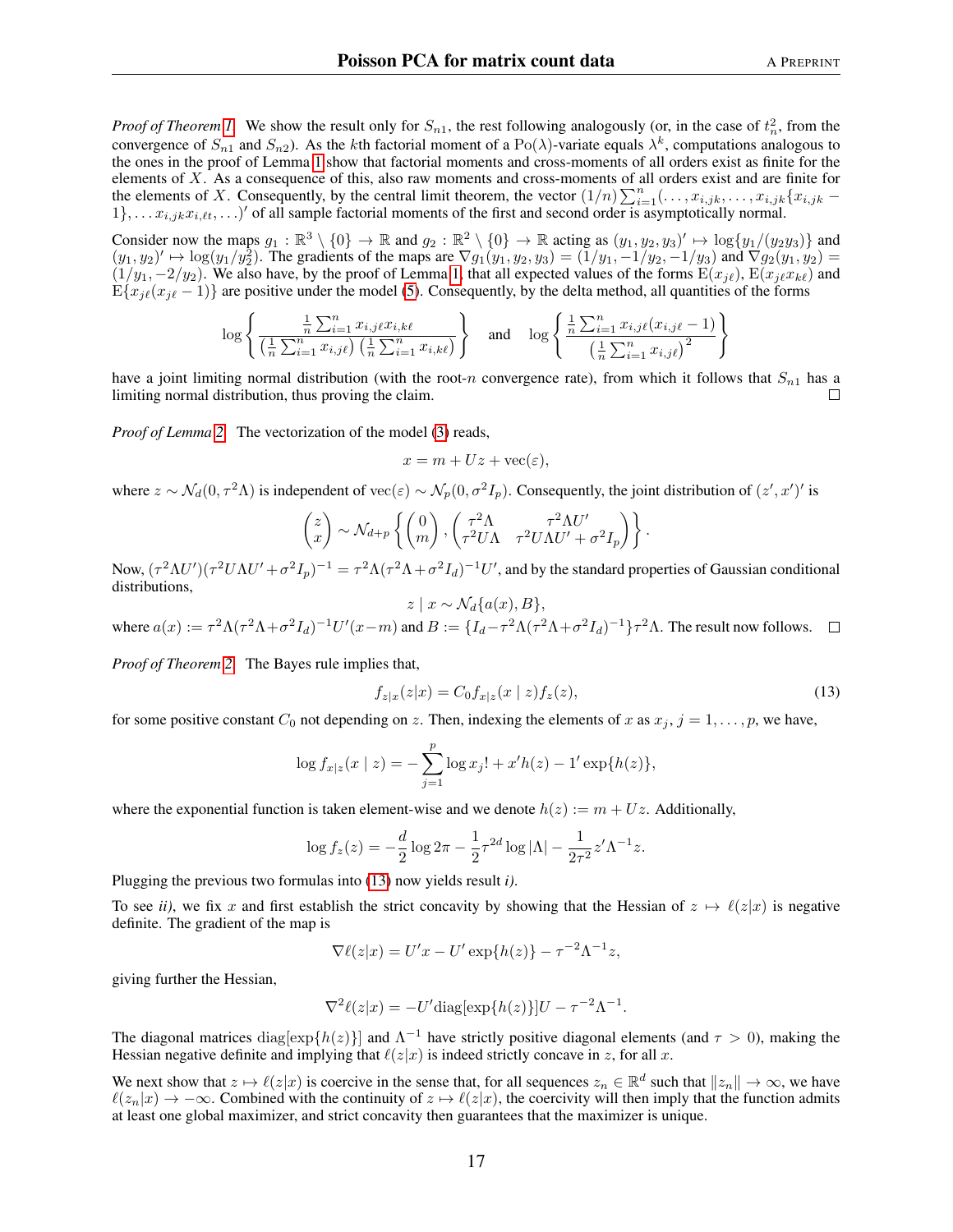*Proof of Theorem [1.](#page-4-0)* We show the result only for  $S_{n1}$ , the rest following analogously (or, in the case of  $t_n^2$ , from the convergence of  $S_{n1}$  and  $S_{n2}$ ). As the kth factorial moment of a Po( $\lambda$ )-variate equals  $\lambda^k$ , computations analogous to the ones in the proof of Lemma [1](#page-3-0) show that factorial moments and cross-moments of all orders exist as finite for the elements of X. As a consequence of this, also raw moments and cross-moments of all orders exist and are finite for the elements of X. Consequently, by the central limit theorem, the vector  $(1/n) \sum_{i=1}^{n} (\ldots, x_{i,jk}, \ldots, x_{i,jk} \{x_{i,jk} 1\}, \ldots x_{i,jk}x_{i,\ell t}, \ldots)$ ' of all sample factorial moments of the first and second order is asymptotically normal.

Consider now the maps  $g_1 : \mathbb{R}^3 \setminus \{0\} \to \mathbb{R}$  and  $g_2 : \mathbb{R}^2 \setminus \{0\} \to \mathbb{R}$  acting as  $(y_1, y_2, y_3)' \mapsto \log\{y_1/(y_2y_3)\}\$  and  $(y_1, y_2)' \mapsto \log(y_1/y_2^2)$ . The gradients of the maps are  $\nabla g_1(y_1, y_2, y_3) = (1/y_1, -1/y_2, -1/y_3)$  and  $\nabla g_2(y_1, y_2) =$  $(1/y_1, -2/y_2)$ . We also have, by the proof of Lemma [1,](#page-3-0) that all expected values of the forms  $E(x_{j\ell}), E(x_{j\ell}x_{k\ell})$  and  $E\{x_{i\ell}(x_{i\ell} - 1)\}\$ are positive under the model [\(5\)](#page-2-3). Consequently, by the delta method, all quantities of the forms

$$
\log \left\{ \frac{\frac{1}{n} \sum_{i=1}^{n} x_{i,j\ell} x_{i,k\ell}}{\left(\frac{1}{n} \sum_{i=1}^{n} x_{i,j\ell}\right) \left(\frac{1}{n} \sum_{i=1}^{n} x_{i,k\ell}\right)} \right\} \text{ and } \log \left\{ \frac{\frac{1}{n} \sum_{i=1}^{n} x_{i,j\ell} (x_{i,j\ell} - 1)}{\left(\frac{1}{n} \sum_{i=1}^{n} x_{i,j\ell}\right)^2} \right\}
$$

have a joint limiting normal distribution (with the root-n convergence rate), from which it follows that  $S_{n1}$  has a limiting normal distribution, thus proving the claim. П

*Proof of Lemma [2.](#page-5-1)* The vectorization of the model [\(3\)](#page-2-1) reads,

$$
x = m + Uz + \text{vec}(\varepsilon),
$$

where  $z \sim \mathcal{N}_d(0, \tau^2 \Lambda)$  is independent of vec $(\varepsilon) \sim \mathcal{N}_p(0, \sigma^2 I_p)$ . Consequently, the joint distribution of  $(z', x')'$  is

$$
\begin{pmatrix} z \\ x \end{pmatrix} \sim \mathcal{N}_{d+p} \left\{ \begin{pmatrix} 0 \\ m \end{pmatrix}, \begin{pmatrix} \tau^2 \Lambda & \tau^2 \Lambda U' \\ \tau^2 U \Lambda & \tau^2 U \Lambda U' + \sigma^2 I_p \end{pmatrix} \right\}.
$$

Now,  $(\tau^2 \Lambda U')(\tau^2 U \Lambda U' + \sigma^2 I_p)^{-1} = \tau^2 \Lambda (\tau^2 \Lambda + \sigma^2 I_d)^{-1} U'$ , and by the standard properties of Gaussian conditional distributions,  $z \mid x \sim \mathcal{N}_d\{a(x), B\},\$ 

where  $a(x) := \tau^2 \Lambda (\tau^2 \Lambda + \sigma^2 I_d)^{-1} U'(x-m)$  and  $B := \{I_d - \tau^2 \Lambda (\tau^2 \Lambda + \sigma^2 I_d)^{-1}\} \tau^2 \Lambda$ . The result now follows.

*Proof of Theorem [2.](#page-5-2)* The Bayes rule implies that,

<span id="page-16-0"></span>
$$
f_{z|x}(z|x) = C_0 f_{x|z}(x \mid z) f_z(z), \tag{13}
$$

for some positive constant  $C_0$  not depending on z. Then, indexing the elements of x as  $x_j$ ,  $j = 1, \ldots, p$ , we have,

$$
\log f_{x|z}(x \mid z) = -\sum_{j=1}^{p} \log x_j! + x'h(z) - 1'\exp\{h(z)\},\,
$$

where the exponential function is taken element-wise and we denote  $h(z) := m + Uz$ . Additionally,

$$
\log f_z(z) = -\frac{d}{2}\log 2\pi - \frac{1}{2}\tau^{2d}\log|\Lambda| - \frac{1}{2\tau^2}z'\Lambda^{-1}z.
$$

Plugging the previous two formulas into [\(13\)](#page-16-0) now yields result *i)*.

To see *ii*), we fix x and first establish the strict concavity by showing that the Hessian of  $z \mapsto \ell(z|x)$  is negative definite. The gradient of the map is

$$
\nabla \ell(z|x) = U'x - U'\exp\{h(z)\} - \tau^{-2}\Lambda^{-1}z,
$$

giving further the Hessian,

$$
\nabla^2 \ell(z|x) = -U' \text{diag}[\exp\{h(z)\}] U - \tau^{-2} \Lambda^{-1}.
$$

The diagonal matrices  $diag[exp{h(z)}]$  and  $\Lambda^{-1}$  have strictly positive diagonal elements (and  $\tau > 0$ ), making the Hessian negative definite and implying that  $\ell(z|x)$  is indeed strictly concave in z, for all x.

We next show that  $z \mapsto \ell(z|x)$  is coercive in the sense that, for all sequences  $z_n \in \mathbb{R}^d$  such that  $||z_n|| \to \infty$ , we have  $\ell(z_n|x) \to -\infty$ . Combined with the continuity of  $z \mapsto \ell(z|x)$ , the coercivity will then imply that the function admits at least one global maximizer, and strict concavity then guarantees that the maximizer is unique.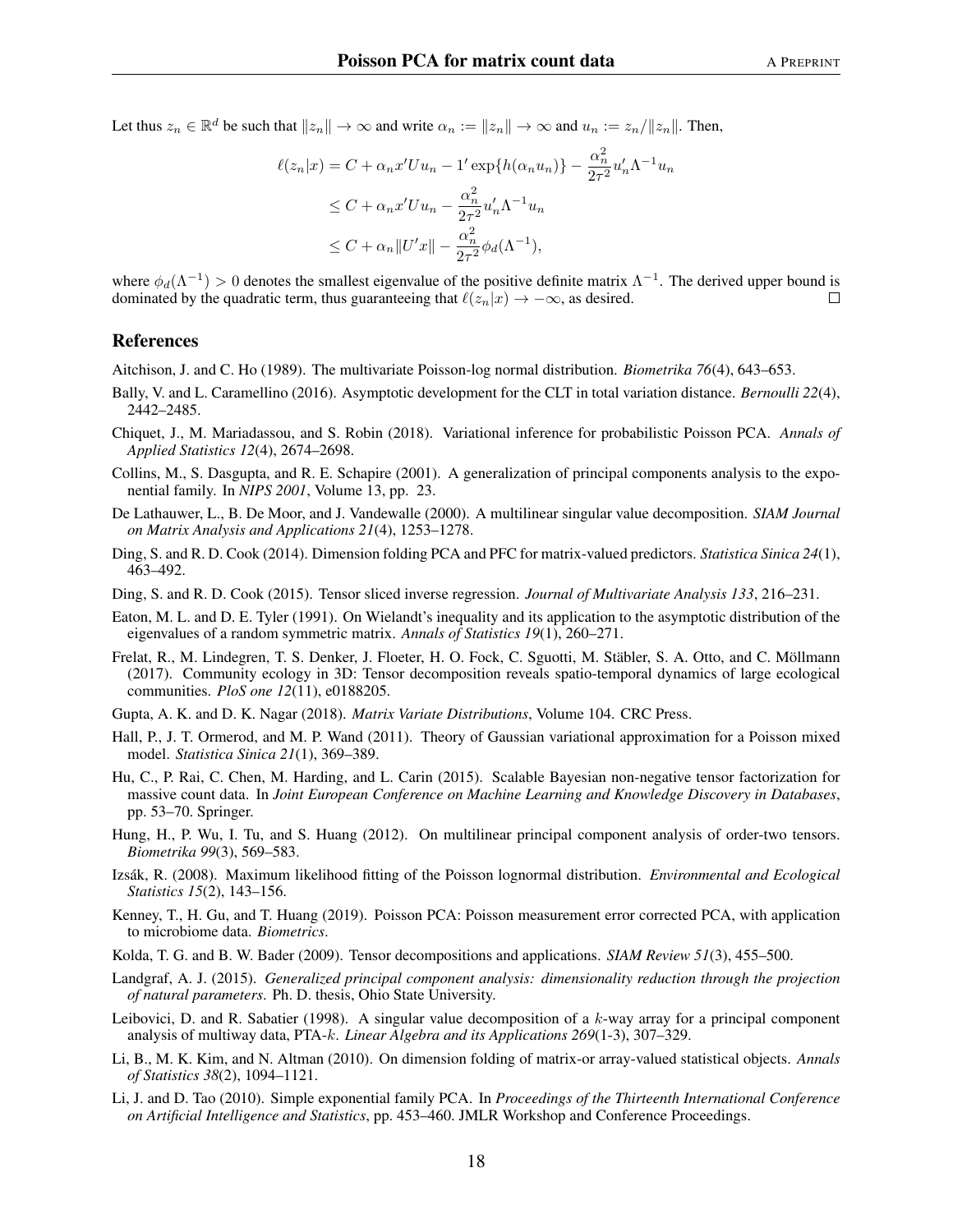Let thus  $z_n \in \mathbb{R}^d$  be such that  $||z_n|| \to \infty$  and write  $\alpha_n := ||z_n|| \to \infty$  and  $u_n := z_n/||z_n||$ . Then,

$$
\ell(z_n|x) = C + \alpha_n x' U u_n - 1' \exp\{h(\alpha_n u_n)\} - \frac{\alpha_n^2}{2\tau^2} u'_n \Lambda^{-1} u_n
$$
  
\n
$$
\leq C + \alpha_n x' U u_n - \frac{\alpha_n^2}{2\tau^2} u'_n \Lambda^{-1} u_n
$$
  
\n
$$
\leq C + \alpha_n ||U'x|| - \frac{\alpha_n^2}{2\tau^2} \phi_d(\Lambda^{-1}),
$$

where  $\phi_d(\Lambda^{-1}) > 0$  denotes the smallest eigenvalue of the positive definite matrix  $\Lambda^{-1}$ . The derived upper bound is dominated by the quadratic term, thus guaranteeing that  $\ell(z_n|x) \to -\infty$ , as desired.  $\Box$ 

## References

<span id="page-17-11"></span>Aitchison, J. and C. Ho (1989). The multivariate Poisson-log normal distribution. *Biometrika 76*(4), 643–653.

- <span id="page-17-18"></span>Bally, V. and L. Caramellino (2016). Asymptotic development for the CLT in total variation distance. *Bernoulli 22*(4), 2442–2485.
- <span id="page-17-14"></span>Chiquet, J., M. Mariadassou, and S. Robin (2018). Variational inference for probabilistic Poisson PCA. *Annals of Applied Statistics 12*(4), 2674–2698.
- <span id="page-17-8"></span>Collins, M., S. Dasgupta, and R. E. Schapire (2001). A generalization of principal components analysis to the exponential family. In *NIPS 2001*, Volume 13, pp. 23.
- <span id="page-17-6"></span>De Lathauwer, L., B. De Moor, and J. Vandewalle (2000). A multilinear singular value decomposition. *SIAM Journal on Matrix Analysis and Applications 21*(4), 1253–1278.
- <span id="page-17-3"></span>Ding, S. and R. D. Cook (2014). Dimension folding PCA and PFC for matrix-valued predictors. *Statistica Sinica 24*(1), 463–492.
- <span id="page-17-5"></span>Ding, S. and R. D. Cook (2015). Tensor sliced inverse regression. *Journal of Multivariate Analysis 133*, 216–231.
- <span id="page-17-16"></span>Eaton, M. L. and D. E. Tyler (1991). On Wielandt's inequality and its application to the asymptotic distribution of the eigenvalues of a random symmetric matrix. *Annals of Statistics 19*(1), 260–271.
- <span id="page-17-1"></span>Frelat, R., M. Lindegren, T. S. Denker, J. Floeter, H. O. Fock, C. Sguotti, M. Stäbler, S. A. Otto, and C. Möllmann (2017). Community ecology in 3D: Tensor decomposition reveals spatio-temporal dynamics of large ecological communities. *PloS one 12*(11), e0188205.
- <span id="page-17-15"></span>Gupta, A. K. and D. K. Nagar (2018). *Matrix Variate Distributions*, Volume 104. CRC Press.
- <span id="page-17-13"></span>Hall, P., J. T. Ormerod, and M. P. Wand (2011). Theory of Gaussian variational approximation for a Poisson mixed model. *Statistica Sinica 21*(1), 369–389.
- <span id="page-17-0"></span>Hu, C., P. Rai, C. Chen, M. Harding, and L. Carin (2015). Scalable Bayesian non-negative tensor factorization for massive count data. In *Joint European Conference on Machine Learning and Knowledge Discovery in Databases*, pp. 53–70. Springer.
- <span id="page-17-2"></span>Hung, H., P. Wu, I. Tu, and S. Huang (2012). On multilinear principal component analysis of order-two tensors. *Biometrika 99*(3), 569–583.
- <span id="page-17-12"></span>Izsak, R. (2008). Maximum likelihood fitting of the Poisson lognormal distribution. ´ *Environmental and Ecological Statistics 15*(2), 143–156.
- <span id="page-17-17"></span>Kenney, T., H. Gu, and T. Huang (2019). Poisson PCA: Poisson measurement error corrected PCA, with application to microbiome data. *Biometrics*.
- <span id="page-17-7"></span>Kolda, T. G. and B. W. Bader (2009). Tensor decompositions and applications. *SIAM Review 51*(3), 455–500.
- <span id="page-17-10"></span>Landgraf, A. J. (2015). *Generalized principal component analysis: dimensionality reduction through the projection of natural parameters*. Ph. D. thesis, Ohio State University.
- <span id="page-17-19"></span>Leibovici, D. and R. Sabatier (1998). A singular value decomposition of a k-way array for a principal component analysis of multiway data, PTA-k. *Linear Algebra and its Applications 269*(1-3), 307–329.
- <span id="page-17-4"></span>Li, B., M. K. Kim, and N. Altman (2010). On dimension folding of matrix-or array-valued statistical objects. *Annals of Statistics 38*(2), 1094–1121.
- <span id="page-17-9"></span>Li, J. and D. Tao (2010). Simple exponential family PCA. In *Proceedings of the Thirteenth International Conference on Artificial Intelligence and Statistics*, pp. 453–460. JMLR Workshop and Conference Proceedings.